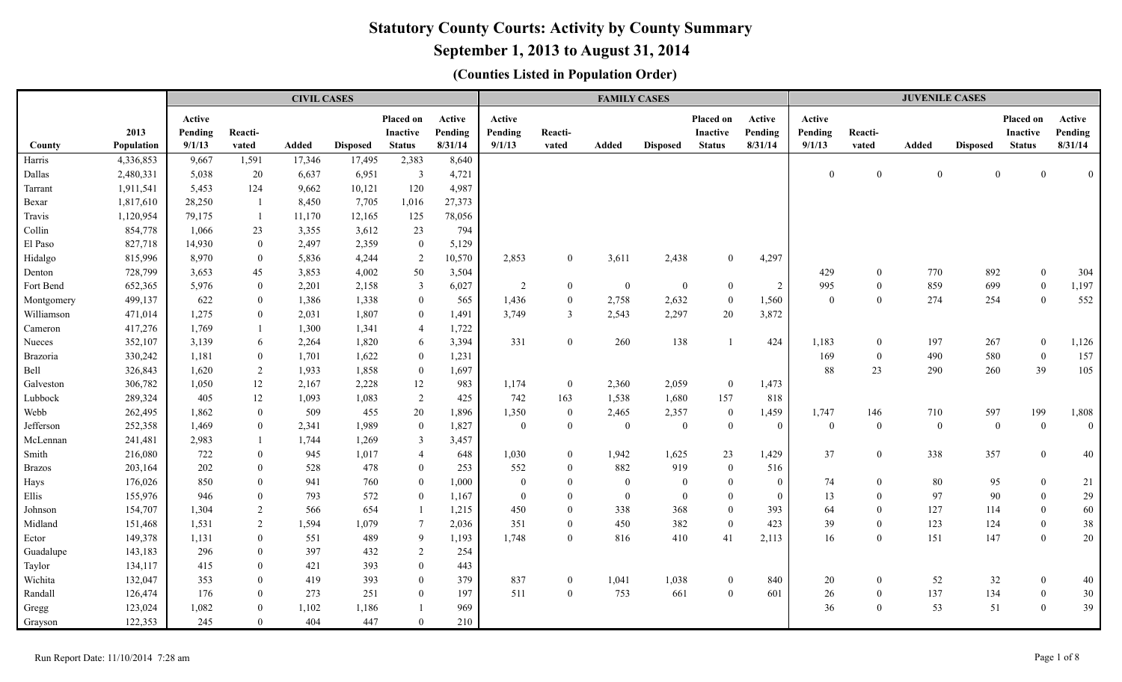# **September 1, 2013 to August 31, 2014**

|               |            |         |                | <b>CIVIL CASES</b> |                 |                 |         |                |                  | <b>FAMILY CASES</b> |                 |                 |                |                |                  | <b>JUVENILE CASES</b> |                 |                  |                  |
|---------------|------------|---------|----------------|--------------------|-----------------|-----------------|---------|----------------|------------------|---------------------|-----------------|-----------------|----------------|----------------|------------------|-----------------------|-----------------|------------------|------------------|
|               |            | Active  |                |                    |                 | Placed on       | Active  | Active         |                  |                     |                 | Placed on       | Active         | Active         |                  |                       |                 | Placed on        | Active           |
|               | 2013       | Pending | Reacti-        |                    |                 | <b>Inactive</b> | Pending | Pending        | Reacti-          |                     |                 | <b>Inactive</b> | Pending        | Pending        | Reacti-          |                       |                 | <b>Inactive</b>  | Pending          |
| County        | Population | 9/1/13  | vated          | <b>Added</b>       | <b>Disposed</b> | <b>Status</b>   | 8/31/14 | 9/1/13         | vated            | Added               | <b>Disposed</b> | Status          | 8/31/14        | 9/1/13         | vated            | Added                 | <b>Disposed</b> | <b>Status</b>    | 8/31/14          |
| Harris        | 4,336,853  | 9,667   | 1,591          | 17,346             | 17,495          | 2,383           | 8,640   |                |                  |                     |                 |                 |                |                |                  |                       |                 |                  |                  |
| Dallas        | 2,480,331  | 5,038   | 20             | 6,637              | 6,951           | $\overline{3}$  | 4,721   |                |                  |                     |                 |                 |                | $\overline{0}$ | $\overline{0}$   | $\overline{0}$        | $\overline{0}$  | $\Omega$         | $\overline{0}$   |
| Tarrant       | 1,911,541  | 5,453   | 124            | 9,662              | 10,121          | 120             | 4,987   |                |                  |                     |                 |                 |                |                |                  |                       |                 |                  |                  |
| Bexar         | 1,817,610  | 28,250  |                | 8,450              | 7,705           | 1,016           | 27,373  |                |                  |                     |                 |                 |                |                |                  |                       |                 |                  |                  |
| Travis        | 1,120,954  | 79,175  |                | 11,170             | 12,165          | 125             | 78,056  |                |                  |                     |                 |                 |                |                |                  |                       |                 |                  |                  |
| Collin        | 854,778    | 1,066   | 23             | 3,355              | 3,612           | 23              | 794     |                |                  |                     |                 |                 |                |                |                  |                       |                 |                  |                  |
| El Paso       | 827,718    | 14,930  | $\overline{0}$ | 2,497              | 2,359           | $\overline{0}$  | 5,129   |                |                  |                     |                 |                 |                |                |                  |                       |                 |                  |                  |
| Hidalgo       | 815,996    | 8.970   | $\overline{0}$ | 5,836              | 4,244           | 2               | 10,570  | 2,853          | $\overline{0}$   | 3,611               | 2,438           | $\Omega$        | 4,297          |                |                  |                       |                 |                  |                  |
| Denton        | 728,799    | 3.653   | 45             | 3,853              | 4,002           | 50              | 3,504   |                |                  |                     |                 |                 |                | 429            | $\theta$         | 770                   | 892             | $\mathbf{0}$     | 304              |
| Fort Bend     | 652,365    | 5.976   | $\mathbf{0}$   | 2,201              | 2,158           | $\overline{3}$  | 6,027   | 2              | $\overline{0}$   | $\mathbf{0}$        | $\bf{0}$        | $\mathbf{0}$    | 2              | 995            | $\overline{0}$   | 859                   | 699             | $\theta$         | 1,197            |
| Montgomery    | 499,137    | 622     | $\mathbf{0}$   | 1,386              | 1,338           | $\overline{0}$  | 565     | 1,436          | $\boldsymbol{0}$ | 2,758               | 2,632           | $\overline{0}$  | 1,560          | $\overline{0}$ | $\theta$         | 274                   | 254             | $\overline{0}$   | 552              |
| Williamson    | 471,014    | 1,275   | $\overline{0}$ | 2,031              | 1,807           | $\overline{0}$  | 1,491   | 3,749          | $\overline{3}$   | 2,543               | 2,297           | 20              | 3,872          |                |                  |                       |                 |                  |                  |
| Cameron       | 417,276    | 1,769   |                | 1,300              | 1,341           | $\overline{4}$  | 1,722   |                |                  |                     |                 |                 |                |                |                  |                       |                 |                  |                  |
| Nueces        | 352,107    | 3,139   | 6              | 2,264              | 1,820           | 6               | 3,394   | 331            | $\mathbf{0}$     | 260                 | 138             | $\overline{1}$  | 424            | 1,183          | $\boldsymbol{0}$ | 197                   | 267             | $\boldsymbol{0}$ | 1,126            |
| Brazoria      | 330,242    | 1,181   | $\mathbf{0}$   | 1,701              | 1,622           | $\theta$        | 1,231   |                |                  |                     |                 |                 |                | 169            | $\overline{0}$   | 490                   | 580             | $\overline{0}$   | 157              |
| Bell          | 326,843    | 1,620   | $\overline{2}$ | 1,933              | 1,858           | $\overline{0}$  | 1,697   |                |                  |                     |                 |                 |                | 88             | 23               | 290                   | 260             | 39               | 105              |
| Galveston     | 306,782    | 1,050   | 12             | 2,167              | 2,228           | 12              | 983     | 1,174          | $\mathbf{0}$     | 2,360               | 2,059           | $\mathbf{0}$    | 1,473          |                |                  |                       |                 |                  |                  |
| Lubbock       | 289,324    | 405     | 12             | 1,093              | 1,083           | $\overline{2}$  | 425     | 742            | 163              | 1,538               | 1,680           | 157             | 818            |                |                  |                       |                 |                  |                  |
| Webb          | 262,495    | 1.862   | $\overline{0}$ | 509                | 455             | 20              | 1,896   | 1,350          | $\overline{0}$   | 2,465               | 2,357           | $\mathbf{0}$    | 1,459          | 1,747          | 146              | 710                   | 597             | 199              | 1,808            |
| Jefferson     | 252,358    | 1,469   | $\overline{0}$ | 2,341              | 1,989           | $\bf{0}$        | 1,827   | $\overline{0}$ | $\mathbf{0}$     | $\mathbf{0}$        | $\overline{0}$  | $\theta$        | $\overline{0}$ | $\mathbf{0}$   | $\overline{0}$   | $\overline{0}$        | $\overline{0}$  | $\theta$         | $\boldsymbol{0}$ |
| McLennan      | 241,481    | 2,983   |                | 1,744              | 1,269           | 3               | 3,457   |                |                  |                     |                 |                 |                |                |                  |                       |                 |                  |                  |
| Smith         | 216,080    | 722     | $\theta$       | 945                | 1,017           | $\overline{4}$  | 648     | 1,030          | $\overline{0}$   | 1,942               | 1,625           | 23              | 1,429          | 37             | $\overline{0}$   | 338                   | 357             | $\overline{0}$   | 40               |
| <b>Brazos</b> | 203,164    | 202     | $\overline{0}$ | 528                | 478             | $\overline{0}$  | 253     | 552            | $\overline{0}$   | 882                 | 919             | $\overline{0}$  | 516            |                |                  |                       |                 |                  |                  |
| Hays          | 176,026    | 850     | $\theta$       | 941                | 760             | $\overline{0}$  | 1,000   | $\overline{0}$ | $\overline{0}$   | $\overline{0}$      | $\overline{0}$  | $\theta$        | $\theta$       | 74             | $\overline{0}$   | 80                    | 95              | $\Omega$         | 21               |
| Ellis         | 155,976    | 946     | $\overline{0}$ | 793                | 572             | $\overline{0}$  | 1,167   | $\overline{0}$ | $\mathbf{0}$     | $\boldsymbol{0}$    | $\overline{0}$  | $\mathbf{0}$    | $\Omega$       | 13             | $\overline{0}$   | 97                    | 90              | $\Omega$         | 29               |
| Johnson       | 154,707    | 1.304   | 2              | 566                | 654             |                 | 1,215   | 450            | $\overline{0}$   | 338                 | 368             | $\theta$        | 393            | 64             | $\overline{0}$   | 127                   | 114             | $\Omega$         | 60               |
| Midland       | 151,468    | 1,531   | $\overline{2}$ | 1,594              | 1,079           | $7\phantom{.0}$ | 2,036   | 351            | $\mathbf{0}$     | 450                 | 382             | $\mathbf{0}$    | 423            | 39             | $\mathbf{0}$     | 123                   | 124             | $\theta$         | 38               |
| Ector         | 149,378    | 1,131   | $\overline{0}$ | 551                | 489             | 9               | 1,193   | 1,748          | $\overline{0}$   | 816                 | 410             | 41              | 2,113          | 16             | $\theta$         | 151                   | 147             | $\overline{0}$   | 20               |
| Guadalupe     | 143,183    | 296     | $\overline{0}$ | 397                | 432             | 2               | 254     |                |                  |                     |                 |                 |                |                |                  |                       |                 |                  |                  |
| Taylor        | 134,117    | 415     | $\theta$       | 421                | 393             | $\overline{0}$  | 443     |                |                  |                     |                 |                 |                |                |                  |                       |                 |                  |                  |
| Wichita       | 132,047    | 353     | $\overline{0}$ | 419                | 393             | $\theta$        | 379     | 837            | $\overline{0}$   | 1,041               | 1,038           | $\theta$        | 840            | 20             | $\overline{0}$   | 52                    | 32              | $\overline{0}$   | 40               |
| Randall       | 126,474    | 176     | $\mathbf{0}$   | 273                | 251             | $\overline{0}$  | 197     | 511            | $\boldsymbol{0}$ | 753                 | 661             | $\mathbf{0}$    | 601            | 26             | $\mathbf{0}$     | 137                   | 134             | $\Omega$         | 30               |
| Gregg         | 123,024    | 1,082   | $\overline{0}$ | 1,102              | 1,186           |                 | 969     |                |                  |                     |                 |                 |                | 36             | $\Omega$         | 53                    | 51              | $\overline{0}$   | 39               |
| Grayson       | 122,353    | 245     | $\mathbf{0}$   | 404                | 447             | $\overline{0}$  | 210     |                |                  |                     |                 |                 |                |                |                  |                       |                 |                  |                  |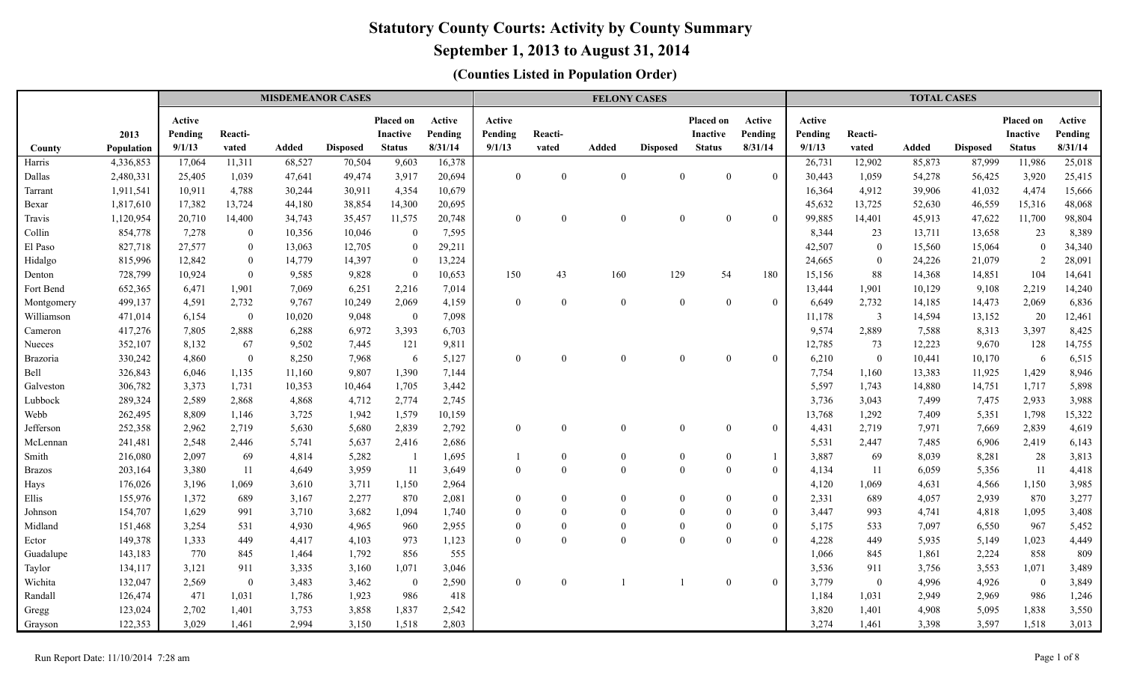# **September 1, 2013 to August 31, 2014**

|                 |            |                   |                | <b>MISDEMEANOR CASES</b> |                 |                          |                   |                   |          | <b>FELONY CASES</b> |                 |                              |                   |                   |                  | <b>TOTAL CASES</b> |                 |                              |                   |
|-----------------|------------|-------------------|----------------|--------------------------|-----------------|--------------------------|-------------------|-------------------|----------|---------------------|-----------------|------------------------------|-------------------|-------------------|------------------|--------------------|-----------------|------------------------------|-------------------|
|                 | 2013       | Active<br>Pending | Reacti-        |                          |                 | Placed on<br>Inactive    | Active<br>Pending | Active<br>Pending | Reacti-  |                     |                 | Placed on<br><b>Inactive</b> | Active<br>Pending | Active<br>Pending | Reacti-          |                    |                 | Placed on<br><b>Inactive</b> | Active<br>Pending |
| County          | Population | 9/1/13            | vated          | Added                    | <b>Disposed</b> | <b>Status</b>            | 8/31/14           | 9/1/13            | vated    | Added               | <b>Disposed</b> | <b>Status</b>                | 8/31/14           | 9/1/13            | vated            | <b>Added</b>       | <b>Disposed</b> | <b>Status</b>                | 8/31/14           |
| Harris          | 4,336,853  | 17,064            | 11,311         | 68,527                   | 70,504          | 9,603                    | 16,378            |                   |          |                     |                 |                              |                   | 26,731            | 12,902           | 85,873             | 87,999          | 11,986                       | 25,018            |
| Dallas          | 2,480,331  | 25,405            | 1,039          | 47,641                   | 49,474          | 3,917                    | 20,694            | $\mathbf{0}$      | $\theta$ | $\theta$            | $\theta$        | $\theta$                     | $\theta$          | 30,443            | 1,059            | 54,278             | 56,425          | 3,920                        | 25,415            |
| Tarrant         | 1,911,541  | 10,911            | 4,788          | 30,244                   | 30,911          | 4,354                    | 10,679            |                   |          |                     |                 |                              |                   | 16,364            | 4,912            | 39,906             | 41,032          | 4,474                        | 15,666            |
| Bexar           | 1,817,610  | 17,382            | 13,724         | 44,180                   | 38,854          | 14,300                   | 20,695            |                   |          |                     |                 |                              |                   | 45,632            | 13,725           | 52,630             | 46,559          | 15,316                       | 48,068            |
| Travis          | 1,120,954  | 20,710            | 14,400         | 34,743                   | 35,457          | 11,575                   | 20,748            | $\theta$          | $\Omega$ | $\theta$            | $\theta$        | $\Omega$                     | $\theta$          | 99,885            | 14,401           | 45,913             | 47,622          | 11,700                       | 98,804            |
| Collin          | 854,778    | 7,278             | $\overline{0}$ | 10,356                   | 10,046          | $\mathbf{0}$             | 7,595             |                   |          |                     |                 |                              |                   | 8,344             | 23               | 13,711             | 13,658          | 23                           | 8,389             |
| El Paso         | 827,718    | 27,577            | $\overline{0}$ | 13,063                   | 12,705          | $\theta$                 | 29,211            |                   |          |                     |                 |                              |                   | 42,507            | $\boldsymbol{0}$ | 15,560             | 15,064          | $\Omega$                     | 34,340            |
| Hidalgo         | 815,996    | 12,842            | $\overline{0}$ | 14,779                   | 14,397          | $\theta$                 | 13,224            |                   |          |                     |                 |                              |                   | 24,665            | $\overline{0}$   | 24,226             | 21,079          |                              | 28,091            |
| Denton          | 728,799    | 10,924            | $\overline{0}$ | 9.585                    | 9,828           | $\Omega$                 | 10,653            | 150               | 43       | 160                 | 129             | 54                           | 180               | 15,156            | 88               | 14,368             | 14,851          | 104                          | 14,641            |
| Fort Bend       | 652,365    | 6,471             | 1,901          | 7,069                    | 6,251           | 2,216                    | 7,014             |                   |          |                     |                 |                              |                   | 13,444            | 1,901            | 10,129             | 9,108           | 2,219                        | 14,240            |
| Montgomery      | 499,137    | 4,591             | 2,732          | 9,767                    | 10,249          | 2,069                    | 4,159             | $\theta$          | $\theta$ | $\theta$            | $\Omega$        | $\theta$                     | $\theta$          | 6,649             | 2,732            | 14,185             | 14,473          | 2,069                        | 6,836             |
| Williamson      | 471,014    | 6,154             | $\overline{0}$ | 10,020                   | 9,048           | $\bf{0}$                 | 7,098             |                   |          |                     |                 |                              |                   | 11,178            | $\overline{3}$   | 14,594             | 13,152          | 20                           | 12,461            |
| Cameron         | 417,276    | 7,805             | 2,888          | 6,288                    | 6,972           | 3,393                    | 6,703             |                   |          |                     |                 |                              |                   | 9,574             | 2,889            | 7,588              | 8,313           | 3,397                        | 8,425             |
| Nueces          | 352,107    | 8,132             | 67             | 9,502                    | 7,445           | 121                      | 9,811             |                   |          |                     |                 |                              |                   | 12,785            | 73               | 12,223             | 9,670           | 128                          | 14,755            |
| <b>Brazoria</b> | 330,242    | 4,860             | $\overline{0}$ | 8,250                    | 7,968           | 6                        | 5,127             | $\theta$          | $\Omega$ | $\theta$            | $\Omega$        | $\Omega$                     | $\Omega$          | 6,210             | $\mathbf{0}$     | 10,441             | 10,170          | -6                           | 6,515             |
| Bell            | 326,843    | 6,046             | 1,135          | 11,160                   | 9,807           | 1,390                    | 7,144             |                   |          |                     |                 |                              |                   | 7,754             | 1,160            | 13,383             | 11,925          | 1,429                        | 8,946             |
| Galveston       | 306,782    | 3,373             | 1,731          | 10,353                   | 10,464          | 1,705                    | 3,442             |                   |          |                     |                 |                              |                   | 5,597             | 1,743            | 14,880             | 14,751          | 1,717                        | 5,898             |
| Lubbock         | 289,324    | 2,589             | 2,868          | 4,868                    | 4,712           | 2,774                    | 2,745             |                   |          |                     |                 |                              |                   | 3,736             | 3,043            | 7,499              | 7,475           | 2,933                        | 3,988             |
| Webb            | 262,495    | 8,809             | 1,146          | 3,725                    | 1,942           | 1,579                    | 10,159            |                   |          |                     |                 |                              |                   | 13,768            | 1,292            | 7,409              | 5,351           | 1,798                        | 15,322            |
| Jefferson       | 252,358    | 2,962             | 2,719          | 5,630                    | 5,680           | 2,839                    | 2,792             | $\mathbf{0}$      | $\theta$ | $\mathbf{0}$        | $\theta$        | $\overline{0}$               | $\mathbf{0}$      | 4,431             | 2,719            | 7,971              | 7,669           | 2,839                        | 4,619             |
| McLennan        | 241,481    | 2,548             | 2,446          | 5,741                    | 5,637           | 2,416                    | 2,686             |                   |          |                     |                 |                              |                   | 5,531             | 2,447            | 7,485              | 6,906           | 2,419                        | 6,143             |
| Smith           | 216,080    | 2,097             | 69             | 4,814                    | 5,282           | $\overline{\phantom{0}}$ | 1,695             |                   | $\theta$ | $\boldsymbol{0}$    | $\Omega$        | $\overline{0}$               | $\overline{1}$    | 3,887             | 69               | 8,039              | 8,281           | 28                           | 3,813             |
| <b>Brazos</b>   | 203,164    | 3,380             | 11             | 4,649                    | 3,959           | -11                      | 3,649             | $\theta$          | $\Omega$ | $\theta$            | $\theta$        | $\theta$                     | $\mathbf{0}$      | 4,134             | 11               | 6,059              | 5,356           | -11                          | 4,418             |
| Hays            | 176,026    | 3,196             | 1,069          | 3,610                    | 3,711           | 1,150                    | 2,964             |                   |          |                     |                 |                              |                   | 4,120             | 1,069            | 4,631              | 4,566           | 1,150                        | 3,985             |
| Ellis           | 155,976    | 1,372             | 689            | 3,167                    | 2,277           | 870                      | 2,081             | $\mathbf{0}$      | $\theta$ | $\mathbf{0}$        | $\theta$        | $\theta$                     | $\mathbf{0}$      | 2,331             | 689              | 4,057              | 2,939           | 870                          | 3,277             |
| Johnson         | 154,707    | 1,629             | 991            | 3,710                    | 3,682           | 1,094                    | 1,740             | $\theta$          | $\Omega$ | $\theta$            |                 | $\theta$                     | $\boldsymbol{0}$  | 3,447             | 993              | 4,741              | 4,818           | 1,095                        | 3,408             |
| Midland         | 151,468    | 3,254             | 531            | 4,930                    | 4,965           | 960                      | 2,955             | $\theta$          | $\Omega$ | $\theta$            |                 | $\Omega$                     | $\boldsymbol{0}$  | 5,175             | 533              | 7,097              | 6,550           | 967                          | 5,452             |
| Ector           | 149,378    | 1,333             | 449            | 4,417                    | 4,103           | 973                      | 1,123             | $\theta$          | $\Omega$ | $\theta$            | $\Omega$        | $\Omega$                     | $\Omega$          | 4,228             | 449              | 5,935              | 5,149           | 1,023                        | 4,449             |
| Guadalupe       | 143,183    | 770               | 845            | 1,464                    | 1,792           | 856                      | 555               |                   |          |                     |                 |                              |                   | 1,066             | 845              | 1,861              | 2,224           | 858                          | 809               |
| Taylor          | 134,117    | 3,121             | 911            | 3,335                    | 3,160           | 1,071                    | 3,046             |                   |          |                     |                 |                              |                   | 3,536             | 911              | 3,756              | 3,553           | 1,071                        | 3,489             |
| Wichita         | 132,047    | 2,569             | $\overline{0}$ | 3,483                    | 3,462           | $\overline{0}$           | 2,590             | $\theta$          | $\Omega$ |                     |                 | $\Omega$                     | $\Omega$          | 3,779             | $\overline{0}$   | 4,996              | 4,926           | $\mathbf{0}$                 | 3,849             |
| Randall         | 126,474    | 471               | 1,031          | 1,786                    | 1,923           | 986                      | 418               |                   |          |                     |                 |                              |                   | 1,184             | 1,031            | 2,949              | 2,969           | 986                          | 1,246             |
| Gregg           | 123,024    | 2,702             | 1,401          | 3,753                    | 3,858           | 1,837                    | 2,542             |                   |          |                     |                 |                              |                   | 3,820             | 1,401            | 4,908              | 5,095           | 1,838                        | 3,550             |
| Grayson         | 122,353    | 3,029             | 1,461          | 2,994                    | 3,150           | 1,518                    | 2,803             |                   |          |                     |                 |                              |                   | 3,274             | 1.461            | 3,398              | 3,597           | 1,518                        | 3,013             |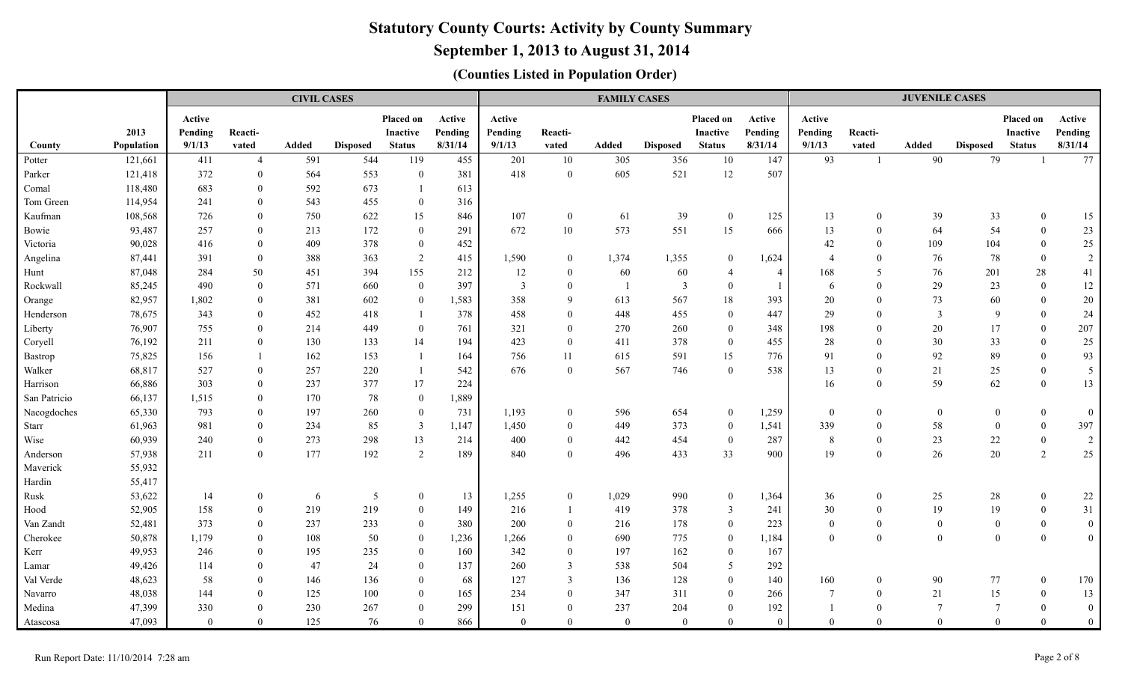# **September 1, 2013 to August 31, 2014**

|              |            |                |                | <b>CIVIL CASES</b> |                 |                  |         |                |                         | <b>FAMILY CASES</b> |                 |                 |                |                |                  | <b>JUVENILE CASES</b> |                  |                 |                |
|--------------|------------|----------------|----------------|--------------------|-----------------|------------------|---------|----------------|-------------------------|---------------------|-----------------|-----------------|----------------|----------------|------------------|-----------------------|------------------|-----------------|----------------|
|              |            | Active         |                |                    |                 | Placed on        | Active  | Active         |                         |                     |                 | Placed on       | Active         | Active         |                  |                       |                  | Placed on       | Active         |
|              | 2013       | Pending        | Reacti-        |                    |                 | <b>Inactive</b>  | Pending | Pending        | Reacti-                 |                     |                 | <b>Inactive</b> | Pending        | Pending        | Reacti-          |                       |                  | <b>Inactive</b> | Pending        |
| County       | Population | 9/1/13         | vated          | Added              | <b>Disposed</b> | <b>Status</b>    | 8/31/14 | 9/1/13         | vated                   | Added               | <b>Disposed</b> | <b>Status</b>   | 8/31/14        | 9/1/13         | vated            | Added                 | <b>Disposed</b>  | <b>Status</b>   | 8/31/14        |
| Potter       | 121,661    | 411            | $\overline{4}$ | 591                | 544             | 119              | 455     | 201            | 10                      | 305                 | 356             | 10              | 147            | 93             | $\overline{1}$   | 90                    | 79               | $\overline{1}$  | 77             |
| Parker       | 121,418    | 372            | $\overline{0}$ | 564                | 553             | $\overline{0}$   | 381     | 418            | $\overline{0}$          | 605                 | 521             | 12              | 507            |                |                  |                       |                  |                 |                |
| Comal        | 118,480    | 683            | $\theta$       | 592                | 673             |                  | 613     |                |                         |                     |                 |                 |                |                |                  |                       |                  |                 |                |
| Tom Green    | 114,954    | 241            | $\theta$       | 543                | 455             | $\mathbf{0}$     | 316     |                |                         |                     |                 |                 |                |                |                  |                       |                  |                 |                |
| Kaufman      | 108,568    | 726            | $\overline{0}$ | 750                | 622             | 15               | 846     | 107            | $\overline{0}$          | 61                  | 39              | $\overline{0}$  | 125            | 13             | $\overline{0}$   | 39                    | 33               | $\theta$        | 15             |
| Bowie        | 93,487     | 257            | $\theta$       | 213                | 172             | $\overline{0}$   | 291     | 672            | 10                      | 573                 | 551             | 15              | 666            | 13             | $\overline{0}$   | 64                    | 54               | $\overline{0}$  | 23             |
| Victoria     | 90,028     | 416            | $\theta$       | 409                | 378             | $\boldsymbol{0}$ | 452     |                |                         |                     |                 |                 |                | 42             | $\overline{0}$   | 109                   | 104              | $\mathbf{0}$    | 25             |
| Angelina     | 87,441     | 391            | $\theta$       | 388                | 363             | $\overline{2}$   | 415     | 1,590          | $\overline{0}$          | 1,374               | 1,355           | $\mathbf{0}$    | 1,624          | $\overline{4}$ | $\theta$         | 76                    | 78               | $\mathbf{0}$    | $\sqrt{2}$     |
| Hunt         | 87,048     | 284            | 50             | 451                | 394             | 155              | 212     | 12             | $\overline{0}$          | 60                  | 60              | $\overline{4}$  | $\overline{4}$ | 168            | 5                | 76                    | 201              | $28\,$          | 41             |
| Rockwall     | 85,245     | 490            | $\theta$       | 571                | 660             | $\theta$         | 397     | $\overline{3}$ | $\mathbf{0}$            | $\overline{1}$      | 3               | $\bf{0}$        | $\overline{1}$ | 6              | $\theta$         | 29                    | 23               | $\theta$        | 12             |
| Orange       | 82,957     | 1,802          | $\overline{0}$ | 381                | 602             | $\overline{0}$   | 1,583   | 358            | 9                       | 613                 | 567             | 18              | 393            | 20             | $\overline{0}$   | 73                    | 60               | $\mathbf{0}$    | $20\,$         |
| Henderson    | 78,675     | 343            | $\theta$       | 452                | 418             |                  | 378     | 458            | $\overline{0}$          | 448                 | 455             | $\mathbf{0}$    | 447            | 29             | $\Omega$         | $\overline{3}$        | $\mathbf{Q}$     | $\theta$        | 24             |
| Liberty      | 76,907     | 755            | $\theta$       | 214                | 449             | $\overline{0}$   | 761     | 321            | $\overline{0}$          | 270                 | 260             | $\mathbf{0}$    | 348            | 198            | $\theta$         | 20                    | 17               | $\overline{0}$  | 207            |
| Coryell      | 76,192     | 211            | $\overline{0}$ | 130                | 133             | 14               | 194     | 423            | $\overline{0}$          | 411                 | 378             | $\bf{0}$        | 455            | $28\,$         | $\overline{0}$   | 30                    | 33               | $\mathbf{0}$    | $25\,$         |
| Bastrop      | 75,825     | 156            |                | 162                | 153             |                  | 164     | 756            | 11                      | 615                 | 591             | 15              | 776            | 91             | $\overline{0}$   | 92                    | 89               | $\mathbf{0}$    | 93             |
| Walker       | 68,817     | 527            | $\overline{0}$ | 257                | 220             |                  | 542     | 676            | $\overline{0}$          | 567                 | 746             | $\mathbf{0}$    | 538            | 13             | $\boldsymbol{0}$ | 21                    | 25               | $\overline{0}$  | $\overline{5}$ |
| Harrison     | 66,886     | 303            | $\overline{0}$ | 237                | 377             | 17               | 224     |                |                         |                     |                 |                 |                | 16             | $\overline{0}$   | 59                    | 62               | $\overline{0}$  | 13             |
| San Patricio | 66,137     | 1,515          | $\overline{0}$ | 170                | 78              | $\mathbf{0}$     | 1,889   |                |                         |                     |                 |                 |                |                |                  |                       |                  |                 |                |
| Nacogdoches  | 65,330     | 793            | $\theta$       | 197                | 260             | $\mathbf{0}$     | 731     | 1,193          | $\bf{0}$                | 596                 | 654             | $\mathbf{0}$    | 1,259          | $\overline{0}$ | $\overline{0}$   | $\overline{0}$        | $\overline{0}$   | $\overline{0}$  | $\mathbf{0}$   |
| Starr        | 61,963     | 981            | $\overline{0}$ | 234                | 85              | $\overline{3}$   | 1,147   | 1,450          | $\overline{0}$          | 449                 | 373             | $\bf{0}$        | 1,541          | 339            | $\overline{0}$   | 58                    | $\bf{0}$         | $\overline{0}$  | 397            |
| Wise         | 60,939     | 240            | $\theta$       | 273                | 298             | 13               | 214     | 400            | $\boldsymbol{0}$        | 442                 | 454             | $\mathbf{0}$    | 287            | $\,8\,$        | $\boldsymbol{0}$ | 23                    | $22\,$           | $\overline{0}$  | $\overline{2}$ |
| Anderson     | 57,938     | 211            | $\theta$       | 177                | 192             | $\overline{2}$   | 189     | 840            | $\mathbf{0}$            | 496                 | 433             | 33              | 900            | 19             | $\overline{0}$   | 26                    | 20               | 2               | 25             |
| Maverick     | 55,932     |                |                |                    |                 |                  |         |                |                         |                     |                 |                 |                |                |                  |                       |                  |                 |                |
| Hardin       | 55,417     |                |                |                    |                 |                  |         |                |                         |                     |                 |                 |                |                |                  |                       |                  |                 |                |
| Rusk         | 53,622     | 14             | $\mathbf{0}$   | 6                  | $\overline{5}$  | $\boldsymbol{0}$ | 13      | 1,255          | $\mathbf{0}$            | 1,029               | 990             | $\overline{0}$  | 1,364          | 36             | $\overline{0}$   | 25                    | 28               | $\Omega$        | $22\,$         |
| Hood         | 52,905     | 158            | $\overline{0}$ | 219                | 219             | $\overline{0}$   | 149     | 216            | -1                      | 419                 | 378             | 3               | 241            | 30             | $\overline{0}$   | 19                    | 19               | $\bf{0}$        | 31             |
| Van Zandt    | 52,481     | 373            | $\overline{0}$ | 237                | 233             | $\mathbf{0}$     | 380     | 200            | $\overline{0}$          | 216                 | 178             | $\overline{0}$  | 223            | $\mathbf{0}$   | $\boldsymbol{0}$ | $\boldsymbol{0}$      | $\boldsymbol{0}$ | $\overline{0}$  | $\mathbf{0}$   |
| Cherokee     | 50,878     | 1,179          | $\theta$       | 108                | 50              | $\overline{0}$   | 1,236   | 1,266          | $\overline{0}$          | 690                 | 775             | $\overline{0}$  | 1,184          | $\overline{0}$ | $\overline{0}$   | $\bf{0}$              | $\overline{0}$   | $\theta$        | $\overline{0}$ |
| Kerr         | 49,953     | 246            | $\overline{0}$ | 195                | 235             | $\mathbf{0}$     | 160     | 342            | $\overline{0}$          | 197                 | 162             | $\overline{0}$  | 167            |                |                  |                       |                  |                 |                |
| Lamar        | 49,426     | 114            | $\theta$       | 47                 | 24              | $\theta$         | 137     | 260            | $\mathfrak{Z}$          | 538                 | 504             | 5               | 292            |                |                  |                       |                  |                 |                |
| Val Verde    | 48,623     | 58             | $\overline{0}$ | 146                | 136             | $\mathbf{0}$     | 68      | 127            | $\overline{\mathbf{3}}$ | 136                 | 128             | $\overline{0}$  | 140            | 160            | $\overline{0}$   | 90                    | $77$             | $\overline{0}$  | 170            |
| Navarro      | 48,038     | 144            | $\theta$       | 125                | 100             | $\mathbf{0}$     | 165     | 234            | $\overline{0}$          | 347                 | 311             | $\overline{0}$  | 266            | $\overline{7}$ | $\overline{0}$   | 21                    | 15               | $\overline{0}$  | 13             |
| Medina       | 47,399     | 330            | $\theta$       | 230                | 267             | $\mathbf{0}$     | 299     | 151            | $\overline{0}$          | 237                 | 204             | $\overline{0}$  | 192            | $\overline{1}$ | $\overline{0}$   | $7\phantom{.0}$       | $7\phantom{.0}$  | $\overline{0}$  | $\mathbf{0}$   |
| Atascosa     | 47,093     | $\overline{0}$ | $\overline{0}$ | 125                | 76              | $\overline{0}$   | 866     | $\theta$       | $\mathbf{0}$            | $\overline{0}$      | $\mathbf{0}$    | $\overline{0}$  | $\overline{0}$ | $\overline{0}$ | $\overline{0}$   | $\theta$              | $\overline{0}$   | $\overline{0}$  | $\overline{0}$ |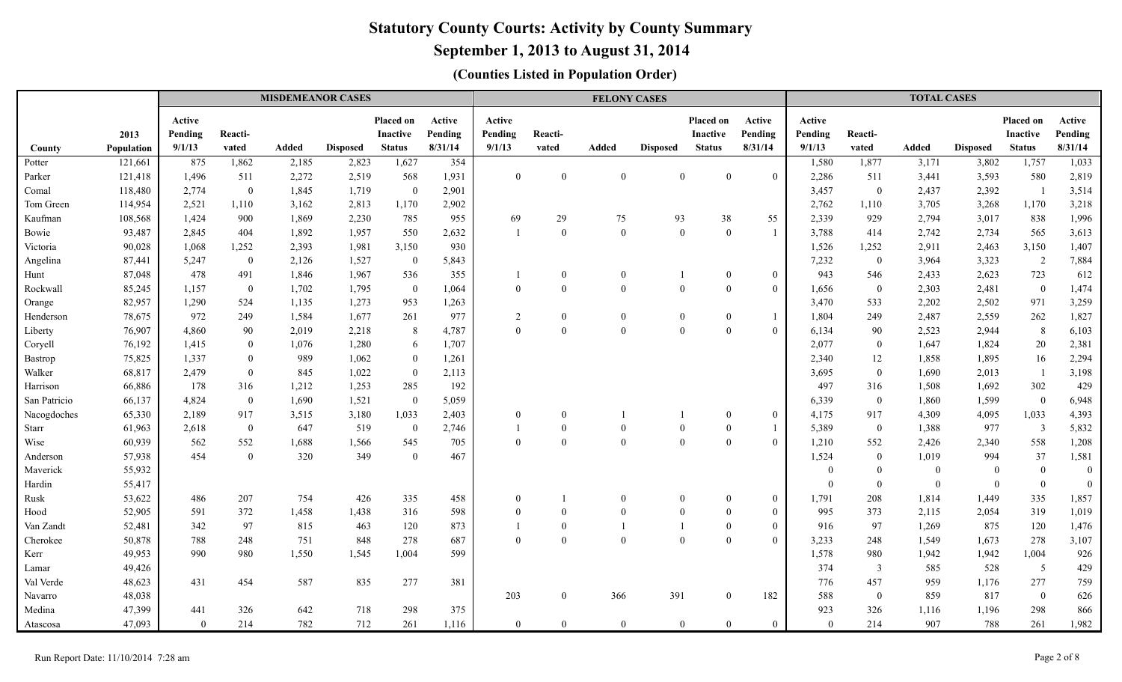# **September 1, 2013 to August 31, 2014**

|                  |                    |                   |                | <b>MISDEMEANOR CASES</b> |                 |                        |                              |                             |                | <b>FELONY CASES</b> |                 |                              |                              |                             |                  | <b>TOTAL CASES</b> |                 |                                     |                              |
|------------------|--------------------|-------------------|----------------|--------------------------|-----------------|------------------------|------------------------------|-----------------------------|----------------|---------------------|-----------------|------------------------------|------------------------------|-----------------------------|------------------|--------------------|-----------------|-------------------------------------|------------------------------|
|                  | 2013               | Active<br>Pending | Reacti-        | <b>Added</b>             | <b>Disposed</b> | Placed on<br>Inactive  | Active<br>Pending<br>8/31/14 | Active<br>Pending<br>9/1/13 | Reacti-        |                     |                 | Placed on<br><b>Inactive</b> | Active<br>Pending<br>8/31/14 | Active<br>Pending<br>9/1/13 | Reacti-<br>vated | <b>Added</b>       | <b>Disposed</b> | <b>Placed on</b><br><b>Inactive</b> | Active<br>Pending<br>8/31/14 |
| County           | Population         | 9/1/13<br>875     | vated<br>1,862 | 2,185                    | 2,823           | <b>Status</b><br>1,627 | 354                          |                             | vated          | Added               | <b>Disposed</b> | <b>Status</b>                |                              |                             | 1,877            |                    | 3,802           | <b>Status</b><br>1,757              |                              |
| Potter<br>Parker | 121,661<br>121,418 | 1,496             | 511            | 2,272                    | 2,519           | 568                    | 1,931                        | $\mathbf{0}$                | $\mathbf{0}$   | $\mathbf{0}$        | $\overline{0}$  | $\boldsymbol{0}$             | $\theta$                     | 1,580<br>2,286              | 511              | 3,171<br>3,441     | 3,593           | 580                                 | 1,033<br>2,819               |
| Comal            | 118,480            | 2,774             | $\mathbf{0}$   | 1,845                    | 1,719           | $\overline{0}$         | 2,901                        |                             |                |                     |                 |                              |                              | 3,457                       | $\boldsymbol{0}$ | 2,437              | 2,392           | $\overline{1}$                      | 3,514                        |
| Tom Green        | 114,954            | 2,521             | 1,110          | 3,162                    | 2,813           | 1,170                  | 2,902                        |                             |                |                     |                 |                              |                              | 2,762                       | 1,110            | 3,705              | 3,268           | 1,170                               | 3,218                        |
| Kaufman          | 108,568            | 1,424             | 900            | 1,869                    | 2,230           | 785                    | 955                          | 69                          | 29             | 75                  | 93              | 38                           | 55                           | 2,339                       | 929              | 2,794              | 3,017           | 838                                 | 1,996                        |
| Bowie            | 93,487             | 2,845             | 404            | 1,892                    | 1,957           | 550                    | 2,632                        | $\overline{1}$              | $\theta$       | $\theta$            | $\theta$        | $\bf{0}$                     | $\overline{1}$               | 3,788                       | 414              | 2,742              | 2,734           | 565                                 | 3,613                        |
| Victoria         | 90,028             | 1,068             | 1,252          | 2,393                    | 1,981           | 3,150                  | 930                          |                             |                |                     |                 |                              |                              | 1,526                       | 1,252            | 2,911              | 2,463           | 3,150                               | 1,407                        |
| Angelina         | 87,441             | 5,247             | $\mathbf{0}$   | 2,126                    | 1,527           | $\mathbf{0}$           | 5,843                        |                             |                |                     |                 |                              |                              | 7,232                       | $\mathbf{0}$     | 3,964              | 3,323           | 2                                   | 7,884                        |
| Hunt             | 87,048             | 478               | 491            | 1,846                    | 1,967           | 536                    | 355                          |                             | $\overline{0}$ | $\theta$            |                 | $\overline{0}$               | $\mathbf{0}$                 | 943                         | 546              | 2,433              | 2,623           | 723                                 | 612                          |
| Rockwall         | 85,245             | 1,157             | $\mathbf{0}$   | 1,702                    | 1,795           | $\overline{0}$         | 1,064                        | $\mathbf{0}$                | $\Omega$       | $\theta$            | $\theta$        | $\bf{0}$                     | $\mathbf{0}$                 | 1,656                       | $\mathbf{0}$     | 2,303              | 2,481           | $\overline{0}$                      | 1,474                        |
| Orange           | 82,957             | 1,290             | 524            | 1,135                    | 1,273           | 953                    | 1,263                        |                             |                |                     |                 |                              |                              | 3,470                       | 533              | 2,202              | 2,502           | 971                                 | 3,259                        |
| Henderson        | 78,675             | 972               | 249            | 1,584                    | 1,677           | 261                    | 977                          | 2                           | $\overline{0}$ | $\theta$            | $\mathbf{0}$    | $\theta$                     |                              | 1,804                       | 249              | 2,487              | 2,559           | 262                                 | 1,827                        |
| Liberty          | 76,907             | 4,860             | 90             | 2,019                    | 2,218           | 8                      | 4,787                        | $\theta$                    | $\theta$       | $\theta$            | $\Omega$        | $\Omega$                     | $\Omega$                     | 6,134                       | 90               | 2,523              | 2,944           | 8                                   | 6,103                        |
| Coryell          | 76,192             | 1,415             | $\overline{0}$ | 1,076                    | 1,280           | 6                      | 1,707                        |                             |                |                     |                 |                              |                              | 2,077                       | $\overline{0}$   | 1,647              | 1,824           | 20                                  | 2,381                        |
| <b>Bastrop</b>   | 75,825             | 1,337             | $\bf{0}$       | 989                      | 1,062           | $\boldsymbol{0}$       | 1,261                        |                             |                |                     |                 |                              |                              | 2,340                       | 12               | 1,858              | 1,895           | 16                                  | 2,294                        |
| Walker           | 68,817             | 2,479             | $\mathbf{0}$   | 845                      | 1,022           | $\boldsymbol{0}$       | 2,113                        |                             |                |                     |                 |                              |                              | 3,695                       | $\boldsymbol{0}$ | 1,690              | 2,013           | $\overline{1}$                      | 3,198                        |
| Harrison         | 66,886             | 178               | 316            | 1,212                    | 1,253           | 285                    | 192                          |                             |                |                     |                 |                              |                              | 497                         | 316              | 1,508              | 1,692           | 302                                 | 429                          |
| San Patricio     | 66,137             | 4,824             | $\mathbf{0}$   | 1,690                    | 1,521           | $\boldsymbol{0}$       | 5,059                        |                             |                |                     |                 |                              |                              | 6,339                       | $\boldsymbol{0}$ | 1,860              | 1,599           | $\bf{0}$                            | 6,948                        |
| Nacogdoches      | 65,330             | 2,189             | 917            | 3,515                    | 3,180           | 1,033                  | 2,403                        | $\mathbf{0}$                | $\theta$       |                     |                 | $\Omega$                     | $\mathbf{0}$                 | 4,175                       | 917              | 4,309              | 4,095           | 1,033                               | 4,393                        |
| Starr            | 61,963             | 2,618             | $\mathbf{0}$   | 647                      | 519             | $\mathbf{0}$           | 2,746                        |                             | $\theta$       | $\theta$            |                 | $\Omega$                     |                              | 5,389                       | $\mathbf{0}$     | 1,388              | 977             | $\overline{3}$                      | 5,832                        |
| Wise             | 60,939             | 562               | 552            | 1,688                    | 1,566           | 545                    | 705                          | $\mathbf{0}$                | $\mathbf{0}$   | $\theta$            | $\Omega$        | $\Omega$                     | $\Omega$                     | 1,210                       | 552              | 2,426              | 2,340           | 558                                 | 1,208                        |
| Anderson         | 57,938             | 454               | $\overline{0}$ | 320                      | 349             | $\theta$               | 467                          |                             |                |                     |                 |                              |                              | 1,524                       | $\overline{0}$   | 1,019              | 994             | 37                                  | 1,581                        |
| Maverick         | 55,932             |                   |                |                          |                 |                        |                              |                             |                |                     |                 |                              |                              | $\overline{0}$              | $\theta$         | $\theta$           | $\mathbf{0}$    | $\overline{0}$                      | $\boldsymbol{0}$             |
| Hardin           | 55,417             |                   |                |                          |                 |                        |                              |                             |                |                     |                 |                              |                              | $\theta$                    | $\theta$         | $\theta$           | $\Omega$        | $\overline{0}$                      | $\boldsymbol{0}$             |
| Rusk             | 53,622             | 486               | 207            | 754                      | 426             | 335                    | 458                          | $\overline{0}$              |                | $\theta$            | $\theta$        | $\Omega$                     | $\mathbf{0}$                 | 1,791                       | 208              | 1,814              | 1,449           | 335                                 | 1,857                        |
| Hood             | 52,905             | 591               | 372            | 1,458                    | 1,438           | 316                    | 598                          | $\mathbf{0}$                | $\mathbf{0}$   | $\theta$            | $\mathbf{0}$    | $\mathbf{0}$                 | $\boldsymbol{0}$             | 995                         | 373              | 2,115              | 2,054           | 319                                 | 1,019                        |
| Van Zandt        | 52,481             | 342               | 97             | 815                      | 463             | 120                    | 873                          |                             | $\mathbf{0}$   |                     |                 | $\Omega$                     | $\mathbf{0}$                 | 916                         | 97               | 1,269              | 875             | 120                                 | 1,476                        |
| Cherokee         | 50,878             | 788               | 248            | 751                      | 848             | 278                    | 687                          | $\theta$                    | $\theta$       | $\theta$            | $\theta$        | $\theta$                     | $\Omega$                     | 3,233                       | 248              | 1,549              | 1,673           | 278                                 | 3,107                        |
| Kerr             | 49,953             | 990               | 980            | 1,550                    | 1,545           | 1,004                  | 599                          |                             |                |                     |                 |                              |                              | 1,578                       | 980              | 1,942              | 1,942           | 1,004                               | 926                          |
| Lamar            | 49,426             |                   |                |                          |                 |                        |                              |                             |                |                     |                 |                              |                              | 374                         | $\overline{3}$   | 585                | 528             | $\overline{5}$                      | 429                          |
| Val Verde        | 48,623             | 431               | 454            | 587                      | 835             | 277                    | 381                          |                             |                |                     |                 |                              |                              | 776                         | 457              | 959                | 1,176           | 277                                 | 759                          |
| Navarro          | 48,038             |                   |                |                          |                 |                        |                              | 203                         | $\theta$       | 366                 | 391             | $\overline{0}$               | 182                          | 588                         | $\mathbf{0}$     | 859                | 817             | $\overline{0}$                      | 626                          |
| Medina           | 47,399             | 441               | 326            | 642                      | 718             | 298                    | 375                          |                             |                |                     |                 |                              |                              | 923                         | 326              | 1,116              | 1,196           | 298                                 | 866                          |
| Atascosa         | 47,093             | $\overline{0}$    | 214            | 782                      | 712             | 261                    | 1,116                        | $\mathbf{0}$                | $\theta$       | $\theta$            | $\overline{0}$  | $\overline{0}$               | $\boldsymbol{0}$             | $\mathbf{0}$                | 214              | 907                | 788             | 261                                 | 1,982                        |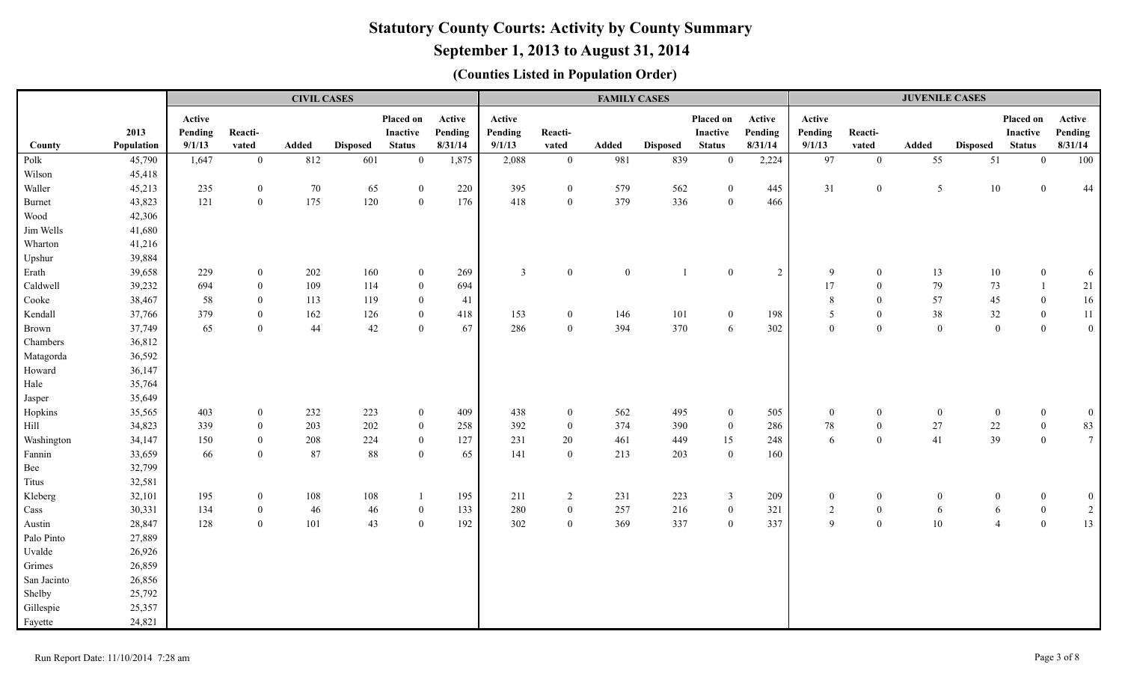# **September 1, 2013 to August 31, 2014**

|             |            |         |                  | <b>CIVIL CASES</b> |                 |                  |         |                |                  | <b>FAMILY CASES</b> |                 |                |                |                |                  | <b>JUVENILE CASES</b> |                  |                                  |                  |
|-------------|------------|---------|------------------|--------------------|-----------------|------------------|---------|----------------|------------------|---------------------|-----------------|----------------|----------------|----------------|------------------|-----------------------|------------------|----------------------------------|------------------|
|             |            | Active  |                  |                    |                 | Placed on        | Active  | Active         |                  |                     |                 | Placed on      | Active         | Active         |                  |                       |                  | Placed on                        | Active           |
|             | 2013       | Pending | Reacti-          |                    |                 | <b>Inactive</b>  | Pending | Pending        | Reacti-          |                     |                 | Inactive       | Pending        | Pending        | Reacti-          |                       |                  | Inactive                         | Pending          |
| County      | Population | 9/1/13  | vated            | Added              | <b>Disposed</b> | <b>Status</b>    | 8/31/14 | 9/1/13         | vated            | Added               | <b>Disposed</b> | <b>Status</b>  | 8/31/14        | 9/1/13         | vated            | Added                 | <b>Disposed</b>  | <b>Status</b>                    | 8/31/14          |
| Polk        | 45,790     | 1,647   | $\overline{0}$   | 812                | 601             | $\overline{0}$   | 1,875   | 2,088          | $\mathbf{0}$     | 981                 | 839             | $\mathbf{0}$   | 2,224          | 97             | $\mathbf{0}$     | 55                    | 51               | $\overline{0}$                   | $100\,$          |
| Wilson      | 45,418     |         |                  |                    |                 |                  |         |                |                  |                     |                 |                |                |                |                  |                       |                  |                                  |                  |
| Waller      | 45,213     | 235     | $\mathbf{0}$     | 70                 | 65              | $\mathbf{0}$     | 220     | 395            | $\mathbf{0}$     | 579                 | 562             | $\overline{0}$ | 445            | 31             | $\boldsymbol{0}$ | $5\overline{)}$       | $10\,$           | $\boldsymbol{0}$                 | $44\,$           |
| Burnet      | 43,823     | 121     | $\mathbf{0}$     | 175                | 120             | $\mathbf{0}$     | 176     | 418            | $\mathbf{0}$     | 379                 | 336             | $\mathbf{0}$   | 466            |                |                  |                       |                  |                                  |                  |
| Wood        | 42,306     |         |                  |                    |                 |                  |         |                |                  |                     |                 |                |                |                |                  |                       |                  |                                  |                  |
| Jim Wells   | 41,680     |         |                  |                    |                 |                  |         |                |                  |                     |                 |                |                |                |                  |                       |                  |                                  |                  |
| Wharton     | 41,216     |         |                  |                    |                 |                  |         |                |                  |                     |                 |                |                |                |                  |                       |                  |                                  |                  |
| Upshur      | 39,884     |         |                  |                    |                 |                  |         |                |                  |                     |                 |                |                |                |                  |                       |                  |                                  |                  |
| Erath       | 39,658     | 229     | $\overline{0}$   | 202                | 160             | $\overline{0}$   | 269     | $\overline{3}$ | $\mathbf{0}$     | $\boldsymbol{0}$    |                 | $\mathbf{0}$   | $\overline{2}$ | 9              | $\overline{0}$   | 13                    | 10               | $\overline{0}$                   | $\sqrt{6}$       |
| Caldwell    | 39,232     | 694     | $\overline{0}$   | 109                | 114             | $\mathbf{0}$     | 694     |                |                  |                     |                 |                |                | 17             | $\boldsymbol{0}$ | 79                    | 73               |                                  | 21               |
| Cooke       | 38,467     | 58      | $\overline{0}$   | 113                | 119             | $\mathbf{0}$     | 41      |                |                  |                     |                 |                |                | $\,8\,$        | $\boldsymbol{0}$ | 57                    | $45\,$           | $\overline{0}$                   | $16\,$           |
| Kendall     | 37,766     | 379     | $\overline{0}$   | 162                | 126             | $\overline{0}$   | 418     | 153            | $\overline{0}$   | 146                 | 101             | $\overline{0}$ | 198            | 5              | $\boldsymbol{0}$ | $38\,$                | $32\,$           | $\overline{0}$                   | $11\,$           |
| Brown       | 37,749     | 65      | $\overline{0}$   | 44                 | 42              | $\overline{0}$   | 67      | 286            | $\mathbf{0}$     | 394                 | 370             | 6              | 302            | $\overline{0}$ | $\mathbf{0}$     | $\mathbf{0}$          | $\bf{0}$         | $\mathbf{0}$                     | $\boldsymbol{0}$ |
| Chambers    | 36,812     |         |                  |                    |                 |                  |         |                |                  |                     |                 |                |                |                |                  |                       |                  |                                  |                  |
| Matagorda   | 36,592     |         |                  |                    |                 |                  |         |                |                  |                     |                 |                |                |                |                  |                       |                  |                                  |                  |
| Howard      | 36,147     |         |                  |                    |                 |                  |         |                |                  |                     |                 |                |                |                |                  |                       |                  |                                  |                  |
| Hale        | 35,764     |         |                  |                    |                 |                  |         |                |                  |                     |                 |                |                |                |                  |                       |                  |                                  |                  |
| Jasper      | 35,649     |         |                  |                    |                 |                  |         |                |                  |                     |                 |                |                |                |                  |                       |                  |                                  |                  |
| Hopkins     | 35,565     | 403     | $\overline{0}$   | 232                | 223             | $\overline{0}$   | 409     | 438            | $\mathbf{0}$     | 562                 | 495             | $\overline{0}$ | 505            | $\overline{0}$ | $\boldsymbol{0}$ | $\boldsymbol{0}$      | $\boldsymbol{0}$ | $\mathbf{0}$                     | $\boldsymbol{0}$ |
| Hill        | 34,823     | 339     | $\boldsymbol{0}$ | 203                | 202             | $\mathbf{0}$     | 258     | 392            | $\boldsymbol{0}$ | 374                 | 390             | $\overline{0}$ | 286            | 78             | $\boldsymbol{0}$ | $27\,$                | $22\,$           | $\mathbf{0}$                     | 83               |
| Washington  | 34,147     | 150     | $\boldsymbol{0}$ | 208                | 224             | $\boldsymbol{0}$ | 127     | 231            | 20               | 461                 | 449             | 15             | 248            | 6              | $\mathbf{0}$     | 41                    | 39               | $\overline{0}$                   | $7\phantom{.0}$  |
| Fannin      | 33,659     | 66      | $\overline{0}$   | 87                 | 88              | $\mathbf{0}$     | 65      | 141            | $\overline{0}$   | 213                 | 203             | $\theta$       | 160            |                |                  |                       |                  |                                  |                  |
| Bee         | 32,799     |         |                  |                    |                 |                  |         |                |                  |                     |                 |                |                |                |                  |                       |                  |                                  |                  |
| Titus       | 32,581     |         |                  |                    |                 |                  |         |                |                  |                     |                 |                |                |                |                  |                       |                  |                                  |                  |
| Kleberg     | 32,101     | 195     | $\mathbf{0}$     | 108                | 108             |                  | 195     | 211            | $\overline{2}$   | 231                 | 223             | $\mathfrak{Z}$ | 209            | $\overline{0}$ | $\bf{0}$         | $\overline{0}$        |                  | $\overline{0}$<br>$\overline{0}$ | $\boldsymbol{0}$ |
| Cass        | 30,331     | 134     | $\overline{0}$   | 46                 | 46              | $\boldsymbol{0}$ | 133     | 280            | $\mathbf{0}$     | 257                 | 216             | $\overline{0}$ | 321            | $\overline{2}$ | $\boldsymbol{0}$ | 6                     |                  | $\boldsymbol{0}$<br>6            | $\overline{2}$   |
| Austin      | 28,847     | 128     | $\overline{0}$   | 101                | 43              | $\overline{0}$   | 192     | 302            | $\overline{0}$   | 369                 | 337             | $\overline{0}$ | 337            | 9              | $\mathbf{0}$     | $10\,$                | $\overline{4}$   | $\overline{0}$                   | 13               |
| Palo Pinto  | 27,889     |         |                  |                    |                 |                  |         |                |                  |                     |                 |                |                |                |                  |                       |                  |                                  |                  |
| Uvalde      | 26,926     |         |                  |                    |                 |                  |         |                |                  |                     |                 |                |                |                |                  |                       |                  |                                  |                  |
| Grimes      | 26,859     |         |                  |                    |                 |                  |         |                |                  |                     |                 |                |                |                |                  |                       |                  |                                  |                  |
| San Jacinto | 26,856     |         |                  |                    |                 |                  |         |                |                  |                     |                 |                |                |                |                  |                       |                  |                                  |                  |
| Shelby      | 25,792     |         |                  |                    |                 |                  |         |                |                  |                     |                 |                |                |                |                  |                       |                  |                                  |                  |
| Gillespie   | 25,357     |         |                  |                    |                 |                  |         |                |                  |                     |                 |                |                |                |                  |                       |                  |                                  |                  |
| Fayette     | 24,821     |         |                  |                    |                 |                  |         |                |                  |                     |                 |                |                |                |                  |                       |                  |                                  |                  |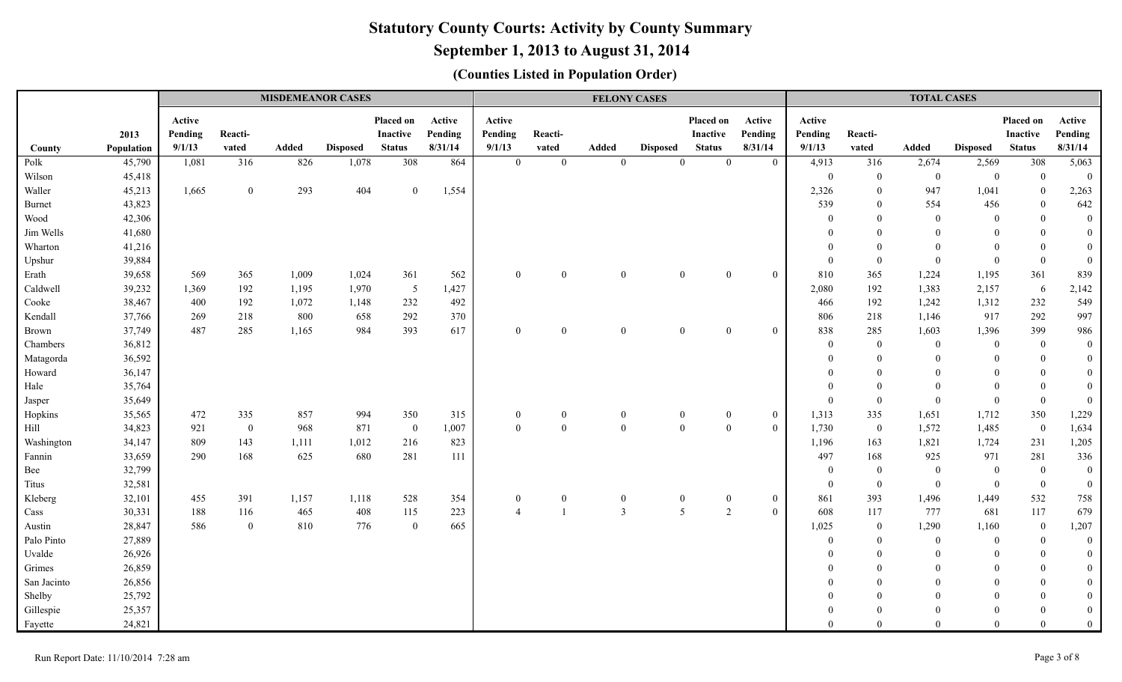# **September 1, 2013 to August 31, 2014**

|                |                  |                             |                  | <b>MISDEMEANOR CASES</b> |                 |                                               |                              |                             |                       | <b>FELONY CASES</b> |                 |                                        |                              |                             |                  | <b>TOTAL CASES</b>    |                   |                                               |                              |
|----------------|------------------|-----------------------------|------------------|--------------------------|-----------------|-----------------------------------------------|------------------------------|-----------------------------|-----------------------|---------------------|-----------------|----------------------------------------|------------------------------|-----------------------------|------------------|-----------------------|-------------------|-----------------------------------------------|------------------------------|
|                | 2013             | Active<br>Pending<br>9/1/13 | Reacti-          | Added                    | <b>Disposed</b> | Placed on<br><b>Inactive</b><br><b>Status</b> | Active<br>Pending<br>8/31/14 | Active<br>Pending<br>9/1/13 | Reacti-               | <b>Added</b>        |                 | Placed on<br>Inactive<br><b>Status</b> | Active<br>Pending<br>8/31/14 | Active<br>Pending<br>9/1/13 | Reacti-<br>vated | Added                 |                   | Placed on<br><b>Inactive</b><br><b>Status</b> | Active<br>Pending<br>8/31/14 |
| County         | Population       |                             | vated<br>316     | 826                      | 1,078           | 308                                           | 864                          | $\bf{0}$                    | vated<br>$\mathbf{0}$ |                     | <b>Disposed</b> | $\mathbf{0}$                           | $\bf{0}$                     |                             | 316              |                       | <b>Disposed</b>   | 308                                           |                              |
| Polk<br>Wilson | 45,790<br>45,418 | 1,081                       |                  |                          |                 |                                               |                              |                             |                       | $\mathbf{0}$        | $\mathbf{0}$    |                                        |                              | 4,913<br>$\mathbf{0}$       | $\boldsymbol{0}$ | 2,674<br>$\mathbf{0}$ | 2,569<br>$\bf{0}$ | $\mathbf{0}$                                  | 5,063<br>$\mathbf{0}$        |
| Waller         | 45,213           | 1,665                       | $\overline{0}$   | 293                      | 404             | $\overline{0}$                                | 1,554                        |                             |                       |                     |                 |                                        |                              | 2,326                       | $\boldsymbol{0}$ | 947                   | 1,041             | $\overline{0}$                                | 2,263                        |
| Burnet         | 43,823           |                             |                  |                          |                 |                                               |                              |                             |                       |                     |                 |                                        |                              | 539                         | $\mathbf{0}$     | 554                   | 456               | $\theta$                                      | 642                          |
| Wood           | 42,306           |                             |                  |                          |                 |                                               |                              |                             |                       |                     |                 |                                        |                              | $\theta$                    | $\mathbf{0}$     | $\mathbf{0}$          | $\overline{0}$    | $\theta$                                      | $\boldsymbol{0}$             |
| Jim Wells      | 41,680           |                             |                  |                          |                 |                                               |                              |                             |                       |                     |                 |                                        |                              |                             | $\Omega$         | $\Omega$              | $\Omega$          | $\Omega$                                      | $\boldsymbol{0}$             |
| Wharton        | 41,216           |                             |                  |                          |                 |                                               |                              |                             |                       |                     |                 |                                        |                              | $\theta$                    | $\overline{0}$   | $\Omega$              | $\Omega$          | $\theta$                                      | $\boldsymbol{0}$             |
| Upshur         | 39,884           |                             |                  |                          |                 |                                               |                              |                             |                       |                     |                 |                                        |                              | $\boldsymbol{0}$            | $\boldsymbol{0}$ | $\mathbf{0}$          | $\Omega$          | $\mathbf{0}$                                  | $\mathbf{0}$                 |
| Erath          | 39,658           | 569                         | 365              | 1,009                    | 1,024           | 361                                           | 562                          | $\theta$                    | $\Omega$              | $\theta$            | $\theta$        | $\Omega$                               | $\mathbf{0}$                 | 810                         | 365              | 1,224                 | 1,195             | 361                                           | 839                          |
| Caldwell       | 39,232           | 1,369                       | 192              | 1,195                    | 1,970           | 5                                             | 1,427                        |                             |                       |                     |                 |                                        |                              | 2,080                       | 192              | 1,383                 | 2,157             | - 6                                           | 2,142                        |
| Cooke          | 38,467           | 400                         | 192              | 1,072                    | 1,148           | 232                                           | 492                          |                             |                       |                     |                 |                                        |                              | 466                         | 192              | 1,242                 | 1,312             | 232                                           | 549                          |
| Kendall        | 37,766           | 269                         | 218              | 800                      | 658             | 292                                           | 370                          |                             |                       |                     |                 |                                        |                              | 806                         | 218              | 1,146                 | 917               | 292                                           | 997                          |
| <b>Brown</b>   | 37,749           | 487                         | 285              | 1,165                    | 984             | 393                                           | 617                          | $\theta$                    | $\Omega$              | $\Omega$            | $\Omega$        | $\theta$                               | $\mathbf{0}$                 | 838                         | 285              | 1,603                 | 1,396             | 399                                           | 986                          |
| Chambers       | 36,812           |                             |                  |                          |                 |                                               |                              |                             |                       |                     |                 |                                        |                              | $\mathbf{0}$                | $\overline{0}$   | $\Omega$              | $\theta$          | $\theta$                                      | $\mathbf{0}$                 |
| Matagorda      | 36,592           |                             |                  |                          |                 |                                               |                              |                             |                       |                     |                 |                                        |                              | $\theta$                    | $\mathbf{0}$     | $\Omega$              | $\Omega$          | $\Omega$                                      | $\boldsymbol{0}$             |
| Howard         | 36,147           |                             |                  |                          |                 |                                               |                              |                             |                       |                     |                 |                                        |                              |                             | $\mathbf{0}$     | $\Omega$              |                   | $\Omega$                                      | $\boldsymbol{0}$             |
| Hale           | 35,764           |                             |                  |                          |                 |                                               |                              |                             |                       |                     |                 |                                        |                              | $\Omega$                    | $\mathbf{0}$     | $\Omega$              | $\Omega$          | $\overline{0}$                                | $\boldsymbol{0}$             |
| Jasper         | 35,649           |                             |                  |                          |                 |                                               |                              |                             |                       |                     |                 |                                        |                              | $\boldsymbol{0}$            | $\boldsymbol{0}$ | $\theta$              | $\mathbf{0}$      | $\overline{0}$                                | $\boldsymbol{0}$             |
| Hopkins        | 35,565           | 472                         | 335              | 857                      | 994             | 350                                           | 315                          | $\boldsymbol{0}$            | $\overline{0}$        | $\theta$            | $\theta$        | $\boldsymbol{0}$                       | $\boldsymbol{0}$             | 1,313                       | 335              | 1,651                 | 1,712             | 350                                           | 1,229                        |
| Hill           | 34,823           | 921                         | $\boldsymbol{0}$ | 968                      | 871             | $\overline{0}$                                | 1,007                        | $\theta$                    | $\overline{0}$        | $\mathbf{0}$        | $\overline{0}$  | $\mathbf{0}$                           | $\mathbf{0}$                 | 1,730                       | $\overline{0}$   | 1,572                 | 1,485             | $\overline{0}$                                | 1,634                        |
| Washington     | 34,147           | 809                         | 143              | 1,111                    | 1,012           | 216                                           | 823                          |                             |                       |                     |                 |                                        |                              | 1,196                       | 163              | 1,821                 | 1,724             | 231                                           | 1,205                        |
| Fannin         | 33,659           | 290                         | 168              | 625                      | 680             | 281                                           | 111                          |                             |                       |                     |                 |                                        |                              | 497                         | 168              | 925                   | 971               | 281                                           | 336                          |
| Bee            | 32,799           |                             |                  |                          |                 |                                               |                              |                             |                       |                     |                 |                                        |                              | $\mathbf{0}$                | $\boldsymbol{0}$ | $\overline{0}$        | $\mathbf{0}$      | $\overline{0}$                                | $\boldsymbol{0}$             |
| Titus          | 32,581           |                             |                  |                          |                 |                                               |                              |                             |                       |                     |                 |                                        |                              | $\boldsymbol{0}$            | $\theta$         | $\theta$              | $\theta$          | $\theta$                                      | $\boldsymbol{0}$             |
| Kleberg        | 32,101           | 455                         | 391              | 1,157                    | 1,118           | 528                                           | 354                          | $\overline{0}$              | $\overline{0}$        | $\boldsymbol{0}$    | $\overline{0}$  | $\bf{0}$                               | $\mathbf{0}$                 | 861                         | 393              | 1,496                 | 1,449             | 532                                           | 758                          |
| Cass           | 30,331           | 188                         | 116              | 465                      | 408             | 115                                           | 223                          | $\boldsymbol{\Lambda}$      |                       | $\overline{3}$      | 5               | $\overline{2}$                         | $\mathbf{0}$                 | 608                         | 117              | 777                   | 681               | 117                                           | 679                          |
| Austin         | 28,847           | 586                         | $\overline{0}$   | 810                      | 776             | $\theta$                                      | 665                          |                             |                       |                     |                 |                                        |                              | 1,025                       | $\overline{0}$   | 1,290                 | 1,160             | $\overline{0}$                                | 1,207                        |
| Palo Pinto     | 27,889           |                             |                  |                          |                 |                                               |                              |                             |                       |                     |                 |                                        |                              | $\theta$                    | $\overline{0}$   | $\overline{0}$        | $\theta$          | $\theta$                                      | $\boldsymbol{0}$             |
| Uvalde         | 26,926           |                             |                  |                          |                 |                                               |                              |                             |                       |                     |                 |                                        |                              |                             | $\mathbf{0}$     | $\theta$              | $\theta$          | $\Omega$                                      | $\boldsymbol{0}$             |
| Grimes         | 26,859           |                             |                  |                          |                 |                                               |                              |                             |                       |                     |                 |                                        |                              |                             | $\theta$         | $\Omega$              | $\Omega$          | $\Omega$                                      | $\boldsymbol{0}$             |
| San Jacinto    | 26,856           |                             |                  |                          |                 |                                               |                              |                             |                       |                     |                 |                                        |                              |                             | $\mathbf{0}$     | $\Omega$              | $\Omega$          | $\Omega$                                      | $\boldsymbol{0}$             |
| Shelby         | 25,792           |                             |                  |                          |                 |                                               |                              |                             |                       |                     |                 |                                        |                              |                             | $\theta$         | $\Omega$              | $\Omega$          | $\Omega$                                      | $\mathbf{0}$                 |
| Gillespie      | 25,357           |                             |                  |                          |                 |                                               |                              |                             |                       |                     |                 |                                        |                              |                             | $\theta$         | $\Omega$              | $\theta$          | $\Omega$                                      | $\boldsymbol{0}$             |
| Fayette        | 24,821           |                             |                  |                          |                 |                                               |                              |                             |                       |                     |                 |                                        |                              | $\overline{0}$              | $\Omega$         | $\Omega$              | $\mathbf{0}$      | $\theta$                                      | $\mathbf{0}$                 |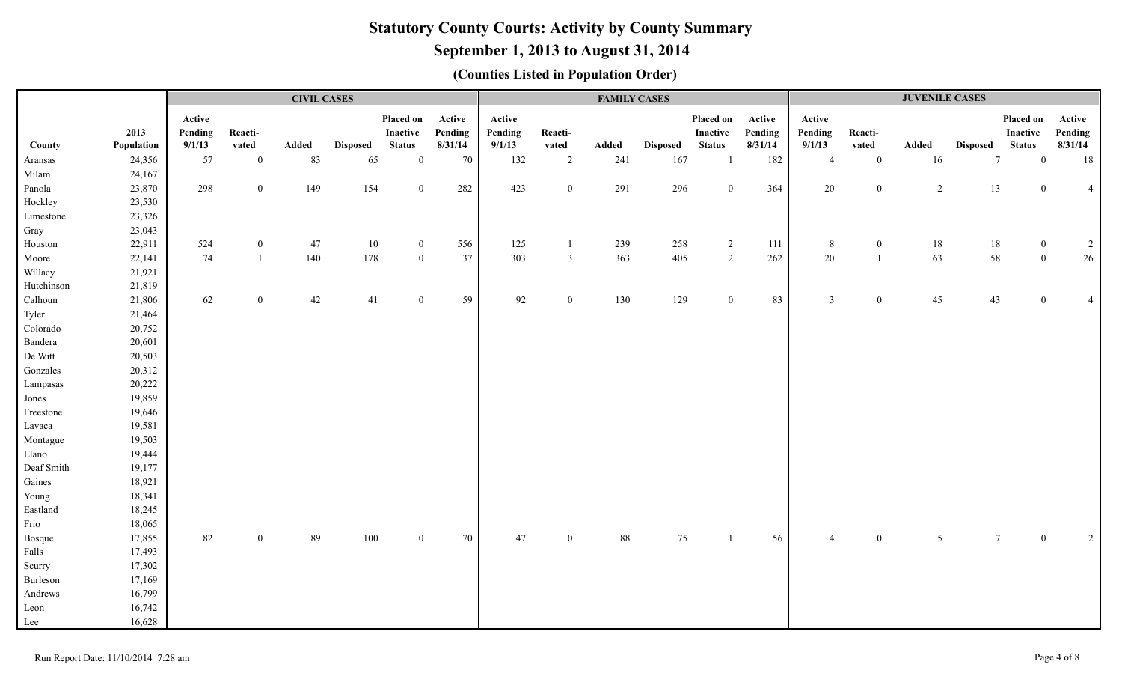# **September 1, 2013 to August 31, 2014**

|            |            |         |                  | <b>CIVIL CASES</b> |                 |                |         |         |                  | <b>FAMILY CASES</b> |                 |                |         |                          |                  | <b>JUVENILE CASES</b> |                 |                |                |
|------------|------------|---------|------------------|--------------------|-----------------|----------------|---------|---------|------------------|---------------------|-----------------|----------------|---------|--------------------------|------------------|-----------------------|-----------------|----------------|----------------|
|            |            | Active  |                  |                    |                 | Placed on      | Active  | Active  |                  |                     |                 | Placed on      | Active  | Active                   |                  |                       |                 | Placed on      | Active         |
|            | 2013       | Pending | Reacti-          |                    |                 | Inactive       | Pending | Pending | Reacti-          |                     |                 | Inactive       | Pending | Pending                  | Reacti-          |                       |                 | Inactive       | Pending        |
| County     | Population | 9/1/13  | vated            | Added              | <b>Disposed</b> | <b>Status</b>  | 8/31/14 | 9/1/13  | vated            | Added               | <b>Disposed</b> | <b>Status</b>  | 8/31/14 | 9/1/13                   | vated            | Added                 | <b>Disposed</b> | <b>Status</b>  | 8/31/14        |
| Aransas    | 24,356     | 57      | $\overline{0}$   | 83                 | 65              | $\overline{0}$ | 70      | 132     | $\overline{2}$   | 241                 | 167             | $\mathbf{1}$   | 182     | $\overline{4}$           | $\mathbf{0}$     | 16                    | $7\phantom{.0}$ | $\mathbf{0}$   | 18             |
| Milam      | 24,167     |         |                  |                    |                 |                |         |         |                  |                     |                 |                |         |                          |                  |                       |                 |                |                |
| Panola     | 23,870     | 298     | $\overline{0}$   | 149                | 154             | $\overline{0}$ | 282     | 423     | $\boldsymbol{0}$ | 291                 | 296             | $\overline{0}$ | 364     | 20                       | $\boldsymbol{0}$ | 2                     | 13              | $\overline{0}$ | $\overline{4}$ |
| Hockley    | 23,530     |         |                  |                    |                 |                |         |         |                  |                     |                 |                |         |                          |                  |                       |                 |                |                |
| Limestone  | 23,326     |         |                  |                    |                 |                |         |         |                  |                     |                 |                |         |                          |                  |                       |                 |                |                |
| Gray       | 23,043     |         |                  |                    |                 |                |         |         |                  |                     |                 |                |         |                          |                  |                       |                 |                |                |
| Houston    | 22,911     | 524     | $\overline{0}$   | 47                 | 10              | $\overline{0}$ | 556     | 125     | 1                | 239                 | 258             | $\overline{2}$ | 111     | 8                        | $\bf{0}$         | 18                    | 18              | $\overline{0}$ | $\overline{c}$ |
| Moore      | 22,141     | 74      | $\mathbf{1}$     | 140                | 178             | $\mathbf{0}$   | 37      | 303     | $\mathbf{3}$     | 363                 | 405             | $\overline{2}$ | $262\,$ | 20                       | $\overline{1}$   | 63                    | 58              | $\theta$       | $26\,$         |
| Willacy    | 21,921     |         |                  |                    |                 |                |         |         |                  |                     |                 |                |         |                          |                  |                       |                 |                |                |
| Hutchinson | 21,819     |         |                  |                    |                 |                |         |         |                  |                     |                 |                |         |                          |                  |                       |                 |                |                |
| Calhoun    | 21,806     | 62      | $\boldsymbol{0}$ | $42\,$             | $41\,$          | $\overline{0}$ | 59      | 92      | $\mathbf{0}$     | 130                 | 129             | $\overline{0}$ | 83      | $\mathfrak{Z}$           | $\mathbf{0}$     | 45                    | 43              | $\Omega$       | $\overline{4}$ |
| Tyler      | 21,464     |         |                  |                    |                 |                |         |         |                  |                     |                 |                |         |                          |                  |                       |                 |                |                |
| Colorado   | 20,752     |         |                  |                    |                 |                |         |         |                  |                     |                 |                |         |                          |                  |                       |                 |                |                |
| Bandera    | 20,601     |         |                  |                    |                 |                |         |         |                  |                     |                 |                |         |                          |                  |                       |                 |                |                |
| De Witt    | 20,503     |         |                  |                    |                 |                |         |         |                  |                     |                 |                |         |                          |                  |                       |                 |                |                |
| Gonzales   | 20,312     |         |                  |                    |                 |                |         |         |                  |                     |                 |                |         |                          |                  |                       |                 |                |                |
| Lampasas   | 20,222     |         |                  |                    |                 |                |         |         |                  |                     |                 |                |         |                          |                  |                       |                 |                |                |
| Jones      | 19,859     |         |                  |                    |                 |                |         |         |                  |                     |                 |                |         |                          |                  |                       |                 |                |                |
| Freestone  | 19,646     |         |                  |                    |                 |                |         |         |                  |                     |                 |                |         |                          |                  |                       |                 |                |                |
| Lavaca     | 19,581     |         |                  |                    |                 |                |         |         |                  |                     |                 |                |         |                          |                  |                       |                 |                |                |
| Montague   | 19,503     |         |                  |                    |                 |                |         |         |                  |                     |                 |                |         |                          |                  |                       |                 |                |                |
| Llano      | 19,444     |         |                  |                    |                 |                |         |         |                  |                     |                 |                |         |                          |                  |                       |                 |                |                |
| Deaf Smith | 19,177     |         |                  |                    |                 |                |         |         |                  |                     |                 |                |         |                          |                  |                       |                 |                |                |
| Gaines     | 18,921     |         |                  |                    |                 |                |         |         |                  |                     |                 |                |         |                          |                  |                       |                 |                |                |
| Young      | 18,341     |         |                  |                    |                 |                |         |         |                  |                     |                 |                |         |                          |                  |                       |                 |                |                |
| Eastland   | 18,245     |         |                  |                    |                 |                |         |         |                  |                     |                 |                |         |                          |                  |                       |                 |                |                |
| Frio       | 18,065     |         |                  |                    |                 |                |         |         |                  |                     |                 |                |         |                          |                  |                       |                 |                |                |
| Bosque     | 17,855     | 82      | $\overline{0}$   | 89                 | 100             | $\overline{0}$ | 70      | 47      | $\overline{0}$   | $88\,$              | 75              | $\overline{1}$ | 56      | $\boldsymbol{\varDelta}$ | $\mathbf{0}$     | $5\overline{)}$       | $7\phantom{.0}$ |                | $\sqrt{2}$     |
| Falls      | 17,493     |         |                  |                    |                 |                |         |         |                  |                     |                 |                |         |                          |                  |                       |                 |                |                |
| Scurry     | 17,302     |         |                  |                    |                 |                |         |         |                  |                     |                 |                |         |                          |                  |                       |                 |                |                |
| Burleson   | 17,169     |         |                  |                    |                 |                |         |         |                  |                     |                 |                |         |                          |                  |                       |                 |                |                |
| Andrews    | 16,799     |         |                  |                    |                 |                |         |         |                  |                     |                 |                |         |                          |                  |                       |                 |                |                |
| Leon       | 16,742     |         |                  |                    |                 |                |         |         |                  |                     |                 |                |         |                          |                  |                       |                 |                |                |
| Lee        | 16,628     |         |                  |                    |                 |                |         |         |                  |                     |                 |                |         |                          |                  |                       |                 |                |                |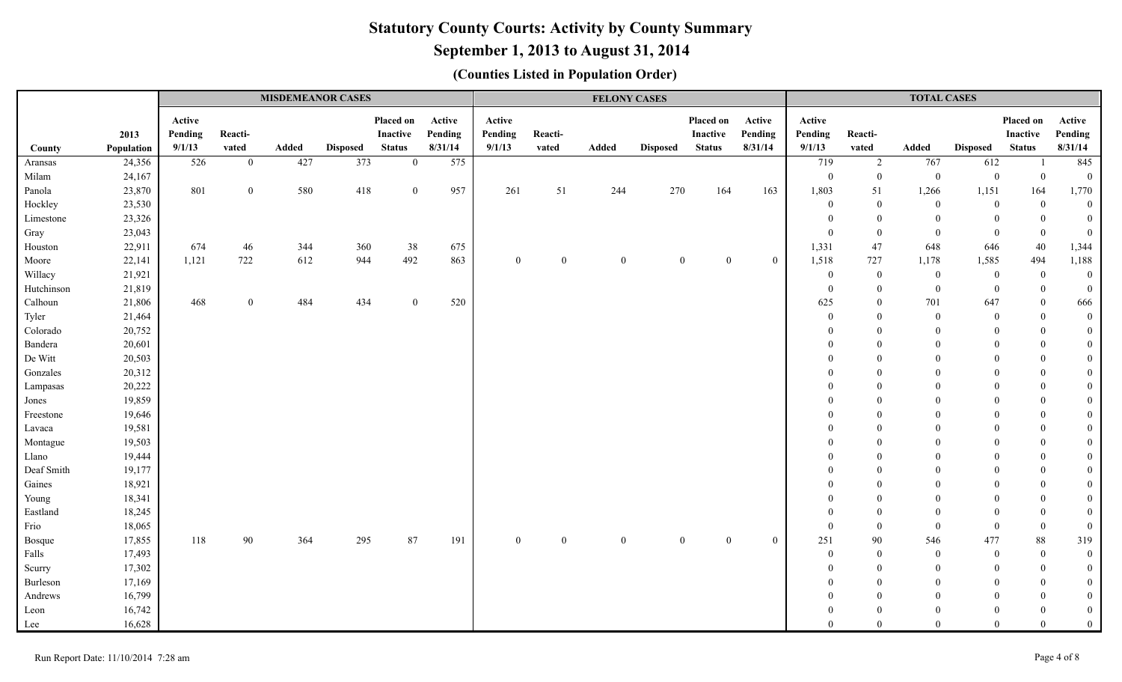# **September 1, 2013 to August 31, 2014**

|            |                    |                             |                  | <b>MISDEMEANOR CASES</b> |                 |                                        |                              |                             |                  | <b>FELONY CASES</b> |                 |                                        |                              |                             |                  | <b>TOTAL CASES</b> |                 |                                               |                              |
|------------|--------------------|-----------------------------|------------------|--------------------------|-----------------|----------------------------------------|------------------------------|-----------------------------|------------------|---------------------|-----------------|----------------------------------------|------------------------------|-----------------------------|------------------|--------------------|-----------------|-----------------------------------------------|------------------------------|
| County     | 2013<br>Population | Active<br>Pending<br>9/1/13 | Reacti-<br>vated | Added                    | <b>Disposed</b> | Placed on<br>Inactive<br><b>Status</b> | Active<br>Pending<br>8/31/14 | Active<br>Pending<br>9/1/13 | Reacti-<br>vated | Added               | <b>Disposed</b> | Placed on<br>Inactive<br><b>Status</b> | Active<br>Pending<br>8/31/14 | Active<br>Pending<br>9/1/13 | Reacti-<br>vated | Added              | <b>Disposed</b> | Placed on<br><b>Inactive</b><br><b>Status</b> | Active<br>Pending<br>8/31/14 |
| Aransas    | 24,356             | 526                         | $\overline{0}$   | 427                      | 373             | $\overline{0}$                         | 575                          |                             |                  |                     |                 |                                        |                              | 719                         | 2                | 767                | 612             | -1                                            | 845                          |
| Milam      | 24,167             |                             |                  |                          |                 |                                        |                              |                             |                  |                     |                 |                                        |                              | $\overline{0}$              | $\overline{0}$   | $\overline{0}$     | $\mathbf{0}$    | $\bf{0}$                                      | $\overline{0}$               |
| Panola     | 23,870             | 801                         | $\mathbf{0}$     | 580                      | 418             | $\overline{0}$                         | 957                          | 261                         | 51               | 244                 | 270             | 164                                    | 163                          | 1,803                       | 51               | 1,266              | 1,151           | 164                                           | 1,770                        |
| Hockley    | 23,530             |                             |                  |                          |                 |                                        |                              |                             |                  |                     |                 |                                        |                              | $\overline{0}$              | $\boldsymbol{0}$ | $\overline{0}$     | $\mathbf{0}$    | $\bf{0}$                                      | $\overline{0}$               |
| Limestone  | 23,326             |                             |                  |                          |                 |                                        |                              |                             |                  |                     |                 |                                        |                              | $\theta$                    | $\overline{0}$   | $\Omega$           | $\overline{0}$  | $\overline{0}$                                | $\overline{0}$               |
| Gray       | 23,043             |                             |                  |                          |                 |                                        |                              |                             |                  |                     |                 |                                        |                              | $\mathbf{0}$                | $\overline{0}$   | $\mathbf{0}$       | $\mathbf{0}$    | $\boldsymbol{0}$                              | $\overline{0}$               |
| Houston    | 22,911             | 674                         | 46               | 344                      | 360             | 38                                     | 675                          |                             |                  |                     |                 |                                        |                              | 1,331                       | 47               | 648                | 646             | 40                                            | 1,344                        |
| Moore      | 22,141             | 1,121                       | 722              | 612                      | 944             | 492                                    | 863                          | $\boldsymbol{0}$            | $\boldsymbol{0}$ | $\mathbf{0}$        | $\theta$        | $\mathbf{0}$                           | $\overline{0}$               | 1,518                       | 727              | 1,178              | 1,585           | 494                                           | 1,188                        |
| Willacy    | 21,921             |                             |                  |                          |                 |                                        |                              |                             |                  |                     |                 |                                        |                              | $\theta$                    | $\mathbf{0}$     | $\overline{0}$     | $\overline{0}$  | $\bf{0}$                                      | $\mathbf{0}$                 |
| Hutchinson | 21,819             |                             |                  |                          |                 |                                        |                              |                             |                  |                     |                 |                                        |                              | $\overline{0}$              | $\overline{0}$   | $\mathbf{0}$       | $\mathbf{0}$    | $\bf{0}$                                      | $\mathbf{0}$                 |
| Calhoun    | 21,806             | 468                         | $\overline{0}$   | 484                      | 434             | $\Omega$                               | 520                          |                             |                  |                     |                 |                                        |                              | 625                         | $\theta$         | 701                | 647             | $\mathbf{0}$                                  | 666                          |
| Tyler      | 21,464             |                             |                  |                          |                 |                                        |                              |                             |                  |                     |                 |                                        |                              | $\overline{0}$              | $\overline{0}$   | $\overline{0}$     | $\theta$        | $\bf{0}$                                      | $\mathbf{0}$                 |
| Colorado   | 20,752             |                             |                  |                          |                 |                                        |                              |                             |                  |                     |                 |                                        |                              | $\Omega$                    | $\Omega$         | $\theta$           | $\Omega$        | $\mathbf{0}$                                  | $\overline{0}$               |
| Bandera    | 20,601             |                             |                  |                          |                 |                                        |                              |                             |                  |                     |                 |                                        |                              | $\Omega$                    | $\Omega$         | $\Omega$           | $\Omega$        | $\overline{0}$                                | $\mathbf{0}$                 |
| De Witt    | 20,503             |                             |                  |                          |                 |                                        |                              |                             |                  |                     |                 |                                        |                              |                             | $\Omega$         | $\Omega$           | $\Omega$        | $\theta$                                      | $\mathbf{0}$                 |
| Gonzales   | 20,312             |                             |                  |                          |                 |                                        |                              |                             |                  |                     |                 |                                        |                              |                             | $\Omega$         | 0                  | $\Omega$        | $\theta$                                      | $\overline{0}$               |
| Lampasas   | 20,222             |                             |                  |                          |                 |                                        |                              |                             |                  |                     |                 |                                        |                              |                             | $\Omega$         |                    |                 | $\overline{0}$                                | $\overline{0}$               |
| Jones      | 19,859             |                             |                  |                          |                 |                                        |                              |                             |                  |                     |                 |                                        |                              |                             |                  |                    |                 | $\theta$                                      | $\overline{0}$               |
| Freestone  | 19,646             |                             |                  |                          |                 |                                        |                              |                             |                  |                     |                 |                                        |                              |                             | $\Omega$         | $\Omega$           |                 | $\mathbf{0}$                                  | $\mathbf{0}$                 |
| Lavaca     | 19,581             |                             |                  |                          |                 |                                        |                              |                             |                  |                     |                 |                                        |                              |                             | $\Omega$         | $\Omega$           |                 | $\overline{0}$                                | $\overline{0}$               |
| Montague   | 19,503             |                             |                  |                          |                 |                                        |                              |                             |                  |                     |                 |                                        |                              |                             | $\Omega$         | $\Omega$           | $\Omega$        | $\mathbf{0}$                                  | $\mathbf{0}$                 |
| Llano      | 19,444             |                             |                  |                          |                 |                                        |                              |                             |                  |                     |                 |                                        |                              |                             | $\Omega$         | $\Omega$           | $\Omega$        | $\theta$                                      | $\mathbf{0}$                 |
| Deaf Smith | 19,177             |                             |                  |                          |                 |                                        |                              |                             |                  |                     |                 |                                        |                              |                             | $\Omega$         | $\Omega$           | $\Omega$        | $\overline{0}$                                | $\mathbf{0}$                 |
| Gaines     | 18,921             |                             |                  |                          |                 |                                        |                              |                             |                  |                     |                 |                                        |                              |                             | $\theta$         | $\Omega$           |                 | $\theta$                                      | $\mathbf{0}$                 |
| Young      | 18,341             |                             |                  |                          |                 |                                        |                              |                             |                  |                     |                 |                                        |                              |                             | $\theta$         | $\Omega$           |                 | $\overline{0}$                                | $\overline{0}$               |
| Eastland   | 18,245             |                             |                  |                          |                 |                                        |                              |                             |                  |                     |                 |                                        |                              | $\Omega$                    | $\overline{0}$   | $\Omega$           | $\Omega$        | $\overline{0}$                                | $\mathbf{0}$                 |
| Frio       | 18,065             |                             |                  |                          |                 |                                        |                              |                             |                  |                     |                 |                                        |                              | $\overline{0}$              | $\overline{0}$   | $\theta$           | $\Omega$        | $\bf{0}$                                      | $\mathbf{0}$                 |
| Bosque     | 17,855             | 118                         | 90               | 364                      | 295             | 87                                     | 191                          | $\mathbf{0}$                | $\mathbf{0}$     | $\mathbf{0}$        | $\Omega$        | $\theta$                               | $\mathbf{0}$                 | 251                         | 90               | 546                | 477             | 88                                            | 319                          |
| Falls      | 17,493             |                             |                  |                          |                 |                                        |                              |                             |                  |                     |                 |                                        |                              | $\theta$                    | $\overline{0}$   | $\theta$           | $\theta$        | $\overline{0}$                                | $\overline{0}$               |
| Scurry     | 17,302             |                             |                  |                          |                 |                                        |                              |                             |                  |                     |                 |                                        |                              | $\Omega$                    | $\overline{0}$   | $\Omega$           | $\Omega$        | $\mathbf{0}$                                  | $\overline{0}$               |
| Burleson   | 17,169             |                             |                  |                          |                 |                                        |                              |                             |                  |                     |                 |                                        |                              |                             | $\theta$         | $\Omega$           | $\Omega$        | $\theta$                                      | $\overline{0}$               |
| Andrews    | 16,799             |                             |                  |                          |                 |                                        |                              |                             |                  |                     |                 |                                        |                              |                             | $\theta$         | $\Omega$           |                 | $\Omega$                                      | $\overline{0}$               |
| Leon       | 16,742             |                             |                  |                          |                 |                                        |                              |                             |                  |                     |                 |                                        |                              |                             | $\Omega$         | $\Omega$           | $\Omega$        | $\Omega$                                      | $\mathbf{0}$                 |
| Lee        | 16,628             |                             |                  |                          |                 |                                        |                              |                             |                  |                     |                 |                                        |                              | $\Omega$                    | $\theta$         | $\theta$           | $\Omega$        | $\overline{0}$                                | $\overline{0}$               |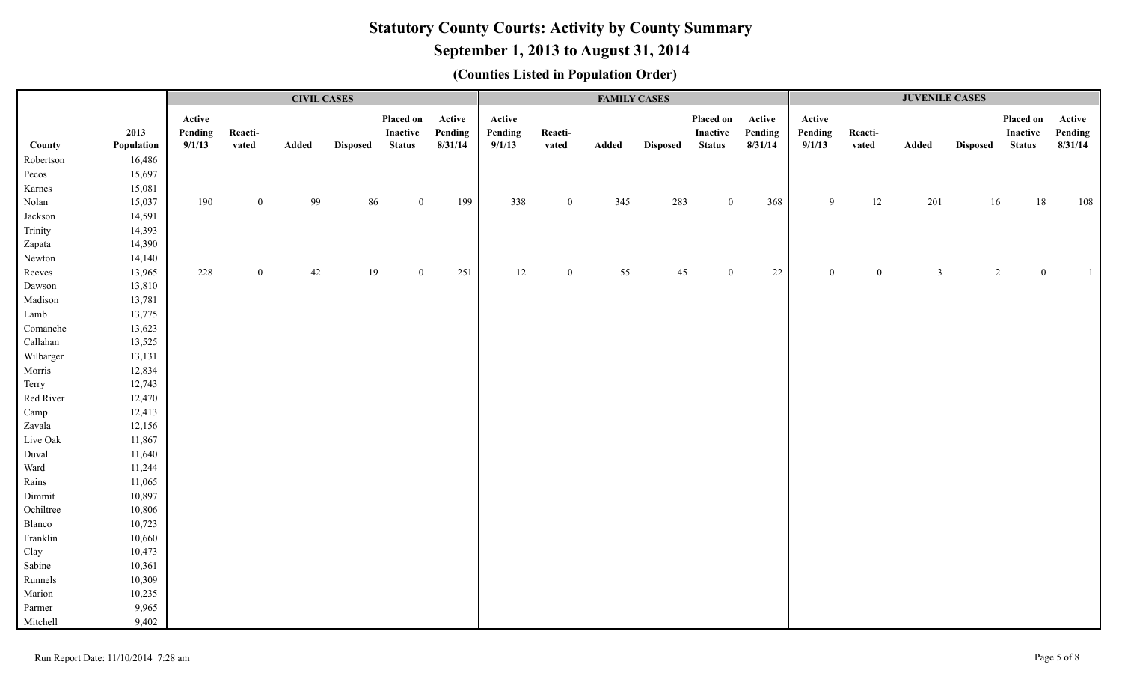# **September 1, 2013 to August 31, 2014**

|           |            |         |              | <b>CIVIL CASES</b> |                 |                |         |         |                  | <b>FAMILY CASES</b> |                 |                |         |          |                  | <b>JUVENILE CASES</b> |                 |                |         |
|-----------|------------|---------|--------------|--------------------|-----------------|----------------|---------|---------|------------------|---------------------|-----------------|----------------|---------|----------|------------------|-----------------------|-----------------|----------------|---------|
|           |            | Active  |              |                    |                 | Placed on      | Active  | Active  |                  |                     |                 | Placed on      | Active  | Active   |                  |                       |                 | Placed on      | Active  |
|           | 2013       | Pending | Reacti-      |                    |                 | Inactive       | Pending | Pending | Reacti-          |                     |                 | Inactive       | Pending | Pending  | Reacti-          |                       |                 | Inactive       | Pending |
| County    | Population | 9/1/13  | vated        | Added              | <b>Disposed</b> | <b>Status</b>  | 8/31/14 | 9/1/13  | vated            | Added               | <b>Disposed</b> | <b>Status</b>  | 8/31/14 | 9/1/13   | vated            | Added                 | Disposed Status |                | 8/31/14 |
| Robertson | 16,486     |         |              |                    |                 |                |         |         |                  |                     |                 |                |         |          |                  |                       |                 |                |         |
| Pecos     | 15,697     |         |              |                    |                 |                |         |         |                  |                     |                 |                |         |          |                  |                       |                 |                |         |
| Karnes    | 15,081     |         |              |                    |                 |                |         |         |                  |                     |                 |                |         |          |                  |                       |                 |                |         |
| Nolan     | 15,037     | 190     | $\mathbf{0}$ | 99                 | 86              | $\overline{0}$ | 199     | 338     | $\boldsymbol{0}$ | 345                 | 283             | $\overline{0}$ | 368     | 9        | $12\,$           | 201                   | 16              | 18             | 108     |
| Jackson   | 14,591     |         |              |                    |                 |                |         |         |                  |                     |                 |                |         |          |                  |                       |                 |                |         |
| Trinity   | 14,393     |         |              |                    |                 |                |         |         |                  |                     |                 |                |         |          |                  |                       |                 |                |         |
| Zapata    | 14,390     |         |              |                    |                 |                |         |         |                  |                     |                 |                |         |          |                  |                       |                 |                |         |
| Newton    | 14,140     |         |              |                    |                 |                |         |         |                  |                     |                 |                |         |          |                  |                       |                 |                |         |
| Reeves    | 13,965     | 228     | $\Omega$     | 42                 | 19              | $\theta$       | 251     | 12      | $\boldsymbol{0}$ | 55                  | 45              | $\Omega$       | 22      | $\Omega$ | $\boldsymbol{0}$ | $\mathfrak{Z}$        |                 | $\overline{2}$ |         |
| Dawson    | 13,810     |         |              |                    |                 |                |         |         |                  |                     |                 |                |         |          |                  |                       |                 |                |         |
| Madison   | 13,781     |         |              |                    |                 |                |         |         |                  |                     |                 |                |         |          |                  |                       |                 |                |         |
| Lamb      | 13,775     |         |              |                    |                 |                |         |         |                  |                     |                 |                |         |          |                  |                       |                 |                |         |
| Comanche  | 13,623     |         |              |                    |                 |                |         |         |                  |                     |                 |                |         |          |                  |                       |                 |                |         |
| Callahan  | 13,525     |         |              |                    |                 |                |         |         |                  |                     |                 |                |         |          |                  |                       |                 |                |         |
| Wilbarger | 13,131     |         |              |                    |                 |                |         |         |                  |                     |                 |                |         |          |                  |                       |                 |                |         |
| Morris    | 12,834     |         |              |                    |                 |                |         |         |                  |                     |                 |                |         |          |                  |                       |                 |                |         |
| Terry     | 12,743     |         |              |                    |                 |                |         |         |                  |                     |                 |                |         |          |                  |                       |                 |                |         |
| Red River | 12,470     |         |              |                    |                 |                |         |         |                  |                     |                 |                |         |          |                  |                       |                 |                |         |
| Camp      | 12,413     |         |              |                    |                 |                |         |         |                  |                     |                 |                |         |          |                  |                       |                 |                |         |
| Zavala    | 12,156     |         |              |                    |                 |                |         |         |                  |                     |                 |                |         |          |                  |                       |                 |                |         |
| Live Oak  | 11,867     |         |              |                    |                 |                |         |         |                  |                     |                 |                |         |          |                  |                       |                 |                |         |
| Duval     | 11,640     |         |              |                    |                 |                |         |         |                  |                     |                 |                |         |          |                  |                       |                 |                |         |
| Ward      | 11,244     |         |              |                    |                 |                |         |         |                  |                     |                 |                |         |          |                  |                       |                 |                |         |
| Rains     | 11,065     |         |              |                    |                 |                |         |         |                  |                     |                 |                |         |          |                  |                       |                 |                |         |
| Dimmit    | 10,897     |         |              |                    |                 |                |         |         |                  |                     |                 |                |         |          |                  |                       |                 |                |         |
| Ochiltree | 10,806     |         |              |                    |                 |                |         |         |                  |                     |                 |                |         |          |                  |                       |                 |                |         |
| Blanco    | 10,723     |         |              |                    |                 |                |         |         |                  |                     |                 |                |         |          |                  |                       |                 |                |         |
| Franklin  | 10,660     |         |              |                    |                 |                |         |         |                  |                     |                 |                |         |          |                  |                       |                 |                |         |
| Clay      | 10,473     |         |              |                    |                 |                |         |         |                  |                     |                 |                |         |          |                  |                       |                 |                |         |
| Sabine    | 10,361     |         |              |                    |                 |                |         |         |                  |                     |                 |                |         |          |                  |                       |                 |                |         |
| Runnels   | 10,309     |         |              |                    |                 |                |         |         |                  |                     |                 |                |         |          |                  |                       |                 |                |         |
| Marion    | 10,235     |         |              |                    |                 |                |         |         |                  |                     |                 |                |         |          |                  |                       |                 |                |         |
| Parmer    | 9,965      |         |              |                    |                 |                |         |         |                  |                     |                 |                |         |          |                  |                       |                 |                |         |
| Mitchell  | 9,402      |         |              |                    |                 |                |         |         |                  |                     |                 |                |         |          |                  |                       |                 |                |         |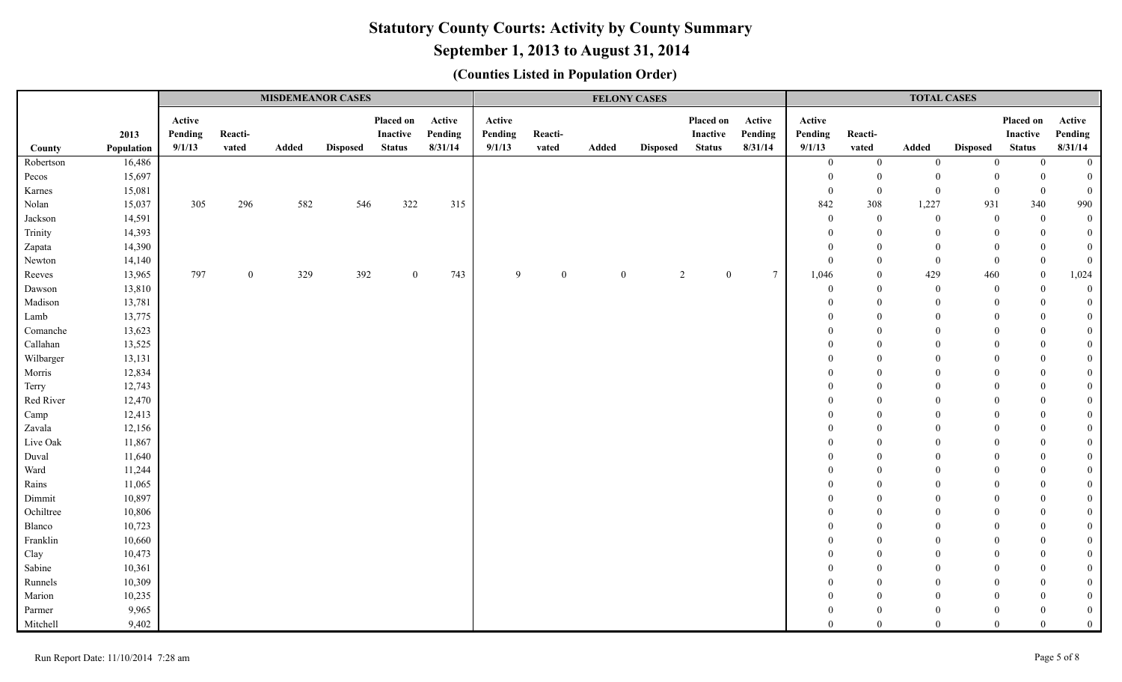# **September 1, 2013 to August 31, 2014**

| Placed on<br>Placed on<br>Active<br>Placed on<br>Active<br>Active<br>Active<br>Active<br>Active<br>2013<br>Pending<br>Reacti-<br><b>Inactive</b><br>Pending<br>Pending<br>Reacti-<br>Inactive<br>Pending<br>Pending<br>Reacti-<br><b>Inactive</b><br>Pending<br>8/31/14<br>9/1/13<br>8/31/14<br>9/1/13<br>9/1/13<br><b>Status</b><br>8/31/14<br>Population<br>vated<br>Added<br><b>Disposed</b><br><b>Status</b><br>Added<br><b>Status</b><br>vated<br>Added<br><b>Disposed</b><br>vated<br><b>Disposed</b><br>County<br>16,486<br>Robertson<br>$\bf{0}$<br>$\boldsymbol{0}$<br>$\boldsymbol{0}$<br>$\mathbf{0}$<br>$\overline{0}$<br>$\overline{0}$<br>15,697<br>Pecos<br>$\theta$<br>$\overline{0}$<br>$\Omega$<br>$\theta$<br>$\theta$<br>$\overline{0}$<br>Karnes<br>15,081<br>$\overline{0}$<br>$\mathbf{0}$<br>$\overline{0}$<br>$\overline{0}$<br>$\overline{0}$<br>$\overline{0}$<br>Nolan<br>15,037<br>296<br>582<br>322<br>842<br>308<br>1,227<br>931<br>340<br>990<br>305<br>546<br>315<br>14,591<br>$\boldsymbol{0}$<br>$\boldsymbol{0}$<br>$\mathbf{0}$<br>$\overline{0}$<br>$\overline{0}$<br>Jackson<br>$\bf{0}$<br>Trinity<br>14,393<br>$\overline{0}$<br>$\theta$<br>$\mathbf{0}$<br>$\bf{0}$<br>$\mathbf{0}$<br>$\Omega$<br>14,390<br>$\theta$<br>$\Omega$<br>$\Omega$<br>$\mathbf{0}$<br>$\mathbf{0}$<br>Zapata<br>$\Omega$<br>Newton<br>14,140<br>$\overline{0}$<br>$\overline{0}$<br>$\bf{0}$<br>$\overline{0}$<br>$\overline{0}$<br>$\overline{0}$<br>$7\phantom{.0}$<br>13,965<br>797<br>$\mathbf{0}$<br>329<br>392<br>743<br>$\mathbf{Q}$<br>$\overline{2}$<br>429<br>460<br>1,024<br>Reeves<br>$\overline{0}$<br>$\mathbf{0}$<br>$\mathbf{0}$<br>$\theta$<br>1,046<br>$\overline{0}$<br>$\bf{0}$<br>13,810<br>$\overline{0}$<br>$\boldsymbol{0}$<br>Dawson<br>$\overline{0}$<br>$\overline{0}$<br>$\theta$<br>$\overline{0}$<br>Madison<br>13,781<br>$\Omega$<br>$\bf{0}$<br>$\overline{0}$<br>$\Omega$<br>$\theta$<br>$\Omega$<br>Lamb<br>13,775<br>$\overline{0}$<br>$\Omega$<br>$\mathbf{0}$<br>$\Omega$<br>$\Omega$<br>13,623<br>$\mathbf{0}$<br>Comanche<br>$\Omega$<br>$\Omega$<br>$\Omega$<br>$\theta$<br>$\Omega$<br>Callahan<br>13,525<br>$\overline{0}$<br>$\Omega$<br>$\Omega$<br>$\Omega$<br>$\theta$<br>Wilbarger<br>13,131<br>$\overline{0}$<br>$\Omega$<br>$\Omega$<br>$\theta$<br>$\Omega$<br>Morris<br>12,834<br>$\overline{0}$<br>$\theta$<br>$\Omega$<br>$\overline{0}$<br>$\Omega$<br>12,743<br>$\overline{0}$<br>Terry<br>$\Omega$<br>$\Omega$<br>$\theta$<br>Red River<br>12,470<br>$\overline{0}$<br>$\overline{0}$<br>$\Omega$<br>$\Omega$<br>12,413<br>$\overline{0}$<br>Camp<br>$\Omega$<br>$\Omega$<br>$\mathbf{0}$<br>$\overline{0}$<br>Zavala<br>12,156<br>$\Omega$<br>$\Omega$<br>$\theta$<br>Live Oak<br>$\mathbf{0}$<br>11,867<br>$\Omega$<br>$\Omega$<br>$\Omega$<br>$\theta$<br>11,640<br>$\mathbf{0}$<br>Duval<br>$\theta$<br>$\Omega$<br>$\Omega$<br>$\theta$<br>Ward<br>11,244<br>$\mathbf{0}$<br>$\Omega$<br>$\Omega$<br>$\Omega$<br>$\Omega$<br>Rains<br>11,065<br>$\overline{0}$<br>$\theta$<br>$\Omega$<br>$\Omega$<br>10,897<br>Dimmit<br>$\theta$<br>$\Omega$<br>$\overline{0}$<br>$\Omega$<br>$\Omega$<br>$\Omega$ |  |  | <b>MISDEMEANOR CASES</b> |  |  | <b>FELONY CASES</b> |  |  | <b>TOTAL CASES</b> |  |  |
|-----------------------------------------------------------------------------------------------------------------------------------------------------------------------------------------------------------------------------------------------------------------------------------------------------------------------------------------------------------------------------------------------------------------------------------------------------------------------------------------------------------------------------------------------------------------------------------------------------------------------------------------------------------------------------------------------------------------------------------------------------------------------------------------------------------------------------------------------------------------------------------------------------------------------------------------------------------------------------------------------------------------------------------------------------------------------------------------------------------------------------------------------------------------------------------------------------------------------------------------------------------------------------------------------------------------------------------------------------------------------------------------------------------------------------------------------------------------------------------------------------------------------------------------------------------------------------------------------------------------------------------------------------------------------------------------------------------------------------------------------------------------------------------------------------------------------------------------------------------------------------------------------------------------------------------------------------------------------------------------------------------------------------------------------------------------------------------------------------------------------------------------------------------------------------------------------------------------------------------------------------------------------------------------------------------------------------------------------------------------------------------------------------------------------------------------------------------------------------------------------------------------------------------------------------------------------------------------------------------------------------------------------------------------------------------------------------------------------------------------------------------------------------------------------------------------------------------------------------------------------------------------------------------------------------------------------------------------------------------------------------------------------------------------------------------------------------------------------------------------------------------------------------------------------------------------|--|--|--------------------------|--|--|---------------------|--|--|--------------------|--|--|
|                                                                                                                                                                                                                                                                                                                                                                                                                                                                                                                                                                                                                                                                                                                                                                                                                                                                                                                                                                                                                                                                                                                                                                                                                                                                                                                                                                                                                                                                                                                                                                                                                                                                                                                                                                                                                                                                                                                                                                                                                                                                                                                                                                                                                                                                                                                                                                                                                                                                                                                                                                                                                                                                                                                                                                                                                                                                                                                                                                                                                                                                                                                                                                                         |  |  |                          |  |  |                     |  |  |                    |  |  |
|                                                                                                                                                                                                                                                                                                                                                                                                                                                                                                                                                                                                                                                                                                                                                                                                                                                                                                                                                                                                                                                                                                                                                                                                                                                                                                                                                                                                                                                                                                                                                                                                                                                                                                                                                                                                                                                                                                                                                                                                                                                                                                                                                                                                                                                                                                                                                                                                                                                                                                                                                                                                                                                                                                                                                                                                                                                                                                                                                                                                                                                                                                                                                                                         |  |  |                          |  |  |                     |  |  |                    |  |  |
|                                                                                                                                                                                                                                                                                                                                                                                                                                                                                                                                                                                                                                                                                                                                                                                                                                                                                                                                                                                                                                                                                                                                                                                                                                                                                                                                                                                                                                                                                                                                                                                                                                                                                                                                                                                                                                                                                                                                                                                                                                                                                                                                                                                                                                                                                                                                                                                                                                                                                                                                                                                                                                                                                                                                                                                                                                                                                                                                                                                                                                                                                                                                                                                         |  |  |                          |  |  |                     |  |  |                    |  |  |
|                                                                                                                                                                                                                                                                                                                                                                                                                                                                                                                                                                                                                                                                                                                                                                                                                                                                                                                                                                                                                                                                                                                                                                                                                                                                                                                                                                                                                                                                                                                                                                                                                                                                                                                                                                                                                                                                                                                                                                                                                                                                                                                                                                                                                                                                                                                                                                                                                                                                                                                                                                                                                                                                                                                                                                                                                                                                                                                                                                                                                                                                                                                                                                                         |  |  |                          |  |  |                     |  |  |                    |  |  |
|                                                                                                                                                                                                                                                                                                                                                                                                                                                                                                                                                                                                                                                                                                                                                                                                                                                                                                                                                                                                                                                                                                                                                                                                                                                                                                                                                                                                                                                                                                                                                                                                                                                                                                                                                                                                                                                                                                                                                                                                                                                                                                                                                                                                                                                                                                                                                                                                                                                                                                                                                                                                                                                                                                                                                                                                                                                                                                                                                                                                                                                                                                                                                                                         |  |  |                          |  |  |                     |  |  |                    |  |  |
|                                                                                                                                                                                                                                                                                                                                                                                                                                                                                                                                                                                                                                                                                                                                                                                                                                                                                                                                                                                                                                                                                                                                                                                                                                                                                                                                                                                                                                                                                                                                                                                                                                                                                                                                                                                                                                                                                                                                                                                                                                                                                                                                                                                                                                                                                                                                                                                                                                                                                                                                                                                                                                                                                                                                                                                                                                                                                                                                                                                                                                                                                                                                                                                         |  |  |                          |  |  |                     |  |  |                    |  |  |
|                                                                                                                                                                                                                                                                                                                                                                                                                                                                                                                                                                                                                                                                                                                                                                                                                                                                                                                                                                                                                                                                                                                                                                                                                                                                                                                                                                                                                                                                                                                                                                                                                                                                                                                                                                                                                                                                                                                                                                                                                                                                                                                                                                                                                                                                                                                                                                                                                                                                                                                                                                                                                                                                                                                                                                                                                                                                                                                                                                                                                                                                                                                                                                                         |  |  |                          |  |  |                     |  |  |                    |  |  |
|                                                                                                                                                                                                                                                                                                                                                                                                                                                                                                                                                                                                                                                                                                                                                                                                                                                                                                                                                                                                                                                                                                                                                                                                                                                                                                                                                                                                                                                                                                                                                                                                                                                                                                                                                                                                                                                                                                                                                                                                                                                                                                                                                                                                                                                                                                                                                                                                                                                                                                                                                                                                                                                                                                                                                                                                                                                                                                                                                                                                                                                                                                                                                                                         |  |  |                          |  |  |                     |  |  |                    |  |  |
|                                                                                                                                                                                                                                                                                                                                                                                                                                                                                                                                                                                                                                                                                                                                                                                                                                                                                                                                                                                                                                                                                                                                                                                                                                                                                                                                                                                                                                                                                                                                                                                                                                                                                                                                                                                                                                                                                                                                                                                                                                                                                                                                                                                                                                                                                                                                                                                                                                                                                                                                                                                                                                                                                                                                                                                                                                                                                                                                                                                                                                                                                                                                                                                         |  |  |                          |  |  |                     |  |  |                    |  |  |
|                                                                                                                                                                                                                                                                                                                                                                                                                                                                                                                                                                                                                                                                                                                                                                                                                                                                                                                                                                                                                                                                                                                                                                                                                                                                                                                                                                                                                                                                                                                                                                                                                                                                                                                                                                                                                                                                                                                                                                                                                                                                                                                                                                                                                                                                                                                                                                                                                                                                                                                                                                                                                                                                                                                                                                                                                                                                                                                                                                                                                                                                                                                                                                                         |  |  |                          |  |  |                     |  |  |                    |  |  |
|                                                                                                                                                                                                                                                                                                                                                                                                                                                                                                                                                                                                                                                                                                                                                                                                                                                                                                                                                                                                                                                                                                                                                                                                                                                                                                                                                                                                                                                                                                                                                                                                                                                                                                                                                                                                                                                                                                                                                                                                                                                                                                                                                                                                                                                                                                                                                                                                                                                                                                                                                                                                                                                                                                                                                                                                                                                                                                                                                                                                                                                                                                                                                                                         |  |  |                          |  |  |                     |  |  |                    |  |  |
|                                                                                                                                                                                                                                                                                                                                                                                                                                                                                                                                                                                                                                                                                                                                                                                                                                                                                                                                                                                                                                                                                                                                                                                                                                                                                                                                                                                                                                                                                                                                                                                                                                                                                                                                                                                                                                                                                                                                                                                                                                                                                                                                                                                                                                                                                                                                                                                                                                                                                                                                                                                                                                                                                                                                                                                                                                                                                                                                                                                                                                                                                                                                                                                         |  |  |                          |  |  |                     |  |  |                    |  |  |
|                                                                                                                                                                                                                                                                                                                                                                                                                                                                                                                                                                                                                                                                                                                                                                                                                                                                                                                                                                                                                                                                                                                                                                                                                                                                                                                                                                                                                                                                                                                                                                                                                                                                                                                                                                                                                                                                                                                                                                                                                                                                                                                                                                                                                                                                                                                                                                                                                                                                                                                                                                                                                                                                                                                                                                                                                                                                                                                                                                                                                                                                                                                                                                                         |  |  |                          |  |  |                     |  |  |                    |  |  |
|                                                                                                                                                                                                                                                                                                                                                                                                                                                                                                                                                                                                                                                                                                                                                                                                                                                                                                                                                                                                                                                                                                                                                                                                                                                                                                                                                                                                                                                                                                                                                                                                                                                                                                                                                                                                                                                                                                                                                                                                                                                                                                                                                                                                                                                                                                                                                                                                                                                                                                                                                                                                                                                                                                                                                                                                                                                                                                                                                                                                                                                                                                                                                                                         |  |  |                          |  |  |                     |  |  |                    |  |  |
|                                                                                                                                                                                                                                                                                                                                                                                                                                                                                                                                                                                                                                                                                                                                                                                                                                                                                                                                                                                                                                                                                                                                                                                                                                                                                                                                                                                                                                                                                                                                                                                                                                                                                                                                                                                                                                                                                                                                                                                                                                                                                                                                                                                                                                                                                                                                                                                                                                                                                                                                                                                                                                                                                                                                                                                                                                                                                                                                                                                                                                                                                                                                                                                         |  |  |                          |  |  |                     |  |  |                    |  |  |
|                                                                                                                                                                                                                                                                                                                                                                                                                                                                                                                                                                                                                                                                                                                                                                                                                                                                                                                                                                                                                                                                                                                                                                                                                                                                                                                                                                                                                                                                                                                                                                                                                                                                                                                                                                                                                                                                                                                                                                                                                                                                                                                                                                                                                                                                                                                                                                                                                                                                                                                                                                                                                                                                                                                                                                                                                                                                                                                                                                                                                                                                                                                                                                                         |  |  |                          |  |  |                     |  |  |                    |  |  |
|                                                                                                                                                                                                                                                                                                                                                                                                                                                                                                                                                                                                                                                                                                                                                                                                                                                                                                                                                                                                                                                                                                                                                                                                                                                                                                                                                                                                                                                                                                                                                                                                                                                                                                                                                                                                                                                                                                                                                                                                                                                                                                                                                                                                                                                                                                                                                                                                                                                                                                                                                                                                                                                                                                                                                                                                                                                                                                                                                                                                                                                                                                                                                                                         |  |  |                          |  |  |                     |  |  |                    |  |  |
|                                                                                                                                                                                                                                                                                                                                                                                                                                                                                                                                                                                                                                                                                                                                                                                                                                                                                                                                                                                                                                                                                                                                                                                                                                                                                                                                                                                                                                                                                                                                                                                                                                                                                                                                                                                                                                                                                                                                                                                                                                                                                                                                                                                                                                                                                                                                                                                                                                                                                                                                                                                                                                                                                                                                                                                                                                                                                                                                                                                                                                                                                                                                                                                         |  |  |                          |  |  |                     |  |  |                    |  |  |
|                                                                                                                                                                                                                                                                                                                                                                                                                                                                                                                                                                                                                                                                                                                                                                                                                                                                                                                                                                                                                                                                                                                                                                                                                                                                                                                                                                                                                                                                                                                                                                                                                                                                                                                                                                                                                                                                                                                                                                                                                                                                                                                                                                                                                                                                                                                                                                                                                                                                                                                                                                                                                                                                                                                                                                                                                                                                                                                                                                                                                                                                                                                                                                                         |  |  |                          |  |  |                     |  |  |                    |  |  |
|                                                                                                                                                                                                                                                                                                                                                                                                                                                                                                                                                                                                                                                                                                                                                                                                                                                                                                                                                                                                                                                                                                                                                                                                                                                                                                                                                                                                                                                                                                                                                                                                                                                                                                                                                                                                                                                                                                                                                                                                                                                                                                                                                                                                                                                                                                                                                                                                                                                                                                                                                                                                                                                                                                                                                                                                                                                                                                                                                                                                                                                                                                                                                                                         |  |  |                          |  |  |                     |  |  |                    |  |  |
|                                                                                                                                                                                                                                                                                                                                                                                                                                                                                                                                                                                                                                                                                                                                                                                                                                                                                                                                                                                                                                                                                                                                                                                                                                                                                                                                                                                                                                                                                                                                                                                                                                                                                                                                                                                                                                                                                                                                                                                                                                                                                                                                                                                                                                                                                                                                                                                                                                                                                                                                                                                                                                                                                                                                                                                                                                                                                                                                                                                                                                                                                                                                                                                         |  |  |                          |  |  |                     |  |  |                    |  |  |
|                                                                                                                                                                                                                                                                                                                                                                                                                                                                                                                                                                                                                                                                                                                                                                                                                                                                                                                                                                                                                                                                                                                                                                                                                                                                                                                                                                                                                                                                                                                                                                                                                                                                                                                                                                                                                                                                                                                                                                                                                                                                                                                                                                                                                                                                                                                                                                                                                                                                                                                                                                                                                                                                                                                                                                                                                                                                                                                                                                                                                                                                                                                                                                                         |  |  |                          |  |  |                     |  |  |                    |  |  |
|                                                                                                                                                                                                                                                                                                                                                                                                                                                                                                                                                                                                                                                                                                                                                                                                                                                                                                                                                                                                                                                                                                                                                                                                                                                                                                                                                                                                                                                                                                                                                                                                                                                                                                                                                                                                                                                                                                                                                                                                                                                                                                                                                                                                                                                                                                                                                                                                                                                                                                                                                                                                                                                                                                                                                                                                                                                                                                                                                                                                                                                                                                                                                                                         |  |  |                          |  |  |                     |  |  |                    |  |  |
|                                                                                                                                                                                                                                                                                                                                                                                                                                                                                                                                                                                                                                                                                                                                                                                                                                                                                                                                                                                                                                                                                                                                                                                                                                                                                                                                                                                                                                                                                                                                                                                                                                                                                                                                                                                                                                                                                                                                                                                                                                                                                                                                                                                                                                                                                                                                                                                                                                                                                                                                                                                                                                                                                                                                                                                                                                                                                                                                                                                                                                                                                                                                                                                         |  |  |                          |  |  |                     |  |  |                    |  |  |
|                                                                                                                                                                                                                                                                                                                                                                                                                                                                                                                                                                                                                                                                                                                                                                                                                                                                                                                                                                                                                                                                                                                                                                                                                                                                                                                                                                                                                                                                                                                                                                                                                                                                                                                                                                                                                                                                                                                                                                                                                                                                                                                                                                                                                                                                                                                                                                                                                                                                                                                                                                                                                                                                                                                                                                                                                                                                                                                                                                                                                                                                                                                                                                                         |  |  |                          |  |  |                     |  |  |                    |  |  |
|                                                                                                                                                                                                                                                                                                                                                                                                                                                                                                                                                                                                                                                                                                                                                                                                                                                                                                                                                                                                                                                                                                                                                                                                                                                                                                                                                                                                                                                                                                                                                                                                                                                                                                                                                                                                                                                                                                                                                                                                                                                                                                                                                                                                                                                                                                                                                                                                                                                                                                                                                                                                                                                                                                                                                                                                                                                                                                                                                                                                                                                                                                                                                                                         |  |  |                          |  |  |                     |  |  |                    |  |  |
| Ochiltree<br>10,806<br>$\Omega$<br>$\overline{0}$<br>$\overline{0}$<br>$\Omega$<br>$\theta$<br>$\Omega$                                                                                                                                                                                                                                                                                                                                                                                                                                                                                                                                                                                                                                                                                                                                                                                                                                                                                                                                                                                                                                                                                                                                                                                                                                                                                                                                                                                                                                                                                                                                                                                                                                                                                                                                                                                                                                                                                                                                                                                                                                                                                                                                                                                                                                                                                                                                                                                                                                                                                                                                                                                                                                                                                                                                                                                                                                                                                                                                                                                                                                                                                 |  |  |                          |  |  |                     |  |  |                    |  |  |
| 10,723<br>Blanco<br>$\Omega$<br>$\mathbf{0}$<br>$\theta$<br>$\Omega$<br>$\Omega$<br>$\Omega$                                                                                                                                                                                                                                                                                                                                                                                                                                                                                                                                                                                                                                                                                                                                                                                                                                                                                                                                                                                                                                                                                                                                                                                                                                                                                                                                                                                                                                                                                                                                                                                                                                                                                                                                                                                                                                                                                                                                                                                                                                                                                                                                                                                                                                                                                                                                                                                                                                                                                                                                                                                                                                                                                                                                                                                                                                                                                                                                                                                                                                                                                            |  |  |                          |  |  |                     |  |  |                    |  |  |
| Franklin<br>10,660<br>$\overline{0}$<br>$\theta$<br>$\overline{0}$<br>$\Omega$<br>$\Omega$<br>$\Omega$                                                                                                                                                                                                                                                                                                                                                                                                                                                                                                                                                                                                                                                                                                                                                                                                                                                                                                                                                                                                                                                                                                                                                                                                                                                                                                                                                                                                                                                                                                                                                                                                                                                                                                                                                                                                                                                                                                                                                                                                                                                                                                                                                                                                                                                                                                                                                                                                                                                                                                                                                                                                                                                                                                                                                                                                                                                                                                                                                                                                                                                                                  |  |  |                          |  |  |                     |  |  |                    |  |  |
| Clay<br>10,473<br>$\mathbf{0}$<br>$\Omega$<br>$\Omega$<br>$\Omega$<br>$\Omega$                                                                                                                                                                                                                                                                                                                                                                                                                                                                                                                                                                                                                                                                                                                                                                                                                                                                                                                                                                                                                                                                                                                                                                                                                                                                                                                                                                                                                                                                                                                                                                                                                                                                                                                                                                                                                                                                                                                                                                                                                                                                                                                                                                                                                                                                                                                                                                                                                                                                                                                                                                                                                                                                                                                                                                                                                                                                                                                                                                                                                                                                                                          |  |  |                          |  |  |                     |  |  |                    |  |  |
| Sabine<br>10,361<br>$\overline{0}$<br>$\theta$<br>$\Omega$<br>$\Omega$<br>$\Omega$                                                                                                                                                                                                                                                                                                                                                                                                                                                                                                                                                                                                                                                                                                                                                                                                                                                                                                                                                                                                                                                                                                                                                                                                                                                                                                                                                                                                                                                                                                                                                                                                                                                                                                                                                                                                                                                                                                                                                                                                                                                                                                                                                                                                                                                                                                                                                                                                                                                                                                                                                                                                                                                                                                                                                                                                                                                                                                                                                                                                                                                                                                      |  |  |                          |  |  |                     |  |  |                    |  |  |
| Runnels<br>10,309<br>$\overline{0}$<br>$\theta$<br>$\Omega$<br>$\theta$<br>$\Omega$                                                                                                                                                                                                                                                                                                                                                                                                                                                                                                                                                                                                                                                                                                                                                                                                                                                                                                                                                                                                                                                                                                                                                                                                                                                                                                                                                                                                                                                                                                                                                                                                                                                                                                                                                                                                                                                                                                                                                                                                                                                                                                                                                                                                                                                                                                                                                                                                                                                                                                                                                                                                                                                                                                                                                                                                                                                                                                                                                                                                                                                                                                     |  |  |                          |  |  |                     |  |  |                    |  |  |
| 10,235<br>Marion<br>$\overline{0}$<br>$\theta$<br>$\Omega$<br>$\Omega$                                                                                                                                                                                                                                                                                                                                                                                                                                                                                                                                                                                                                                                                                                                                                                                                                                                                                                                                                                                                                                                                                                                                                                                                                                                                                                                                                                                                                                                                                                                                                                                                                                                                                                                                                                                                                                                                                                                                                                                                                                                                                                                                                                                                                                                                                                                                                                                                                                                                                                                                                                                                                                                                                                                                                                                                                                                                                                                                                                                                                                                                                                                  |  |  |                          |  |  |                     |  |  |                    |  |  |
| 9,965<br>Parmer<br>$\overline{0}$<br>$\mathbf{0}$<br>$\Omega$<br>$\Omega$<br>$\Omega$<br>Mitchell<br>9,402<br>$\overline{0}$<br>$\overline{0}$<br>$\Omega$<br>$\Omega$<br>$\Omega$<br>$\theta$                                                                                                                                                                                                                                                                                                                                                                                                                                                                                                                                                                                                                                                                                                                                                                                                                                                                                                                                                                                                                                                                                                                                                                                                                                                                                                                                                                                                                                                                                                                                                                                                                                                                                                                                                                                                                                                                                                                                                                                                                                                                                                                                                                                                                                                                                                                                                                                                                                                                                                                                                                                                                                                                                                                                                                                                                                                                                                                                                                                          |  |  |                          |  |  |                     |  |  |                    |  |  |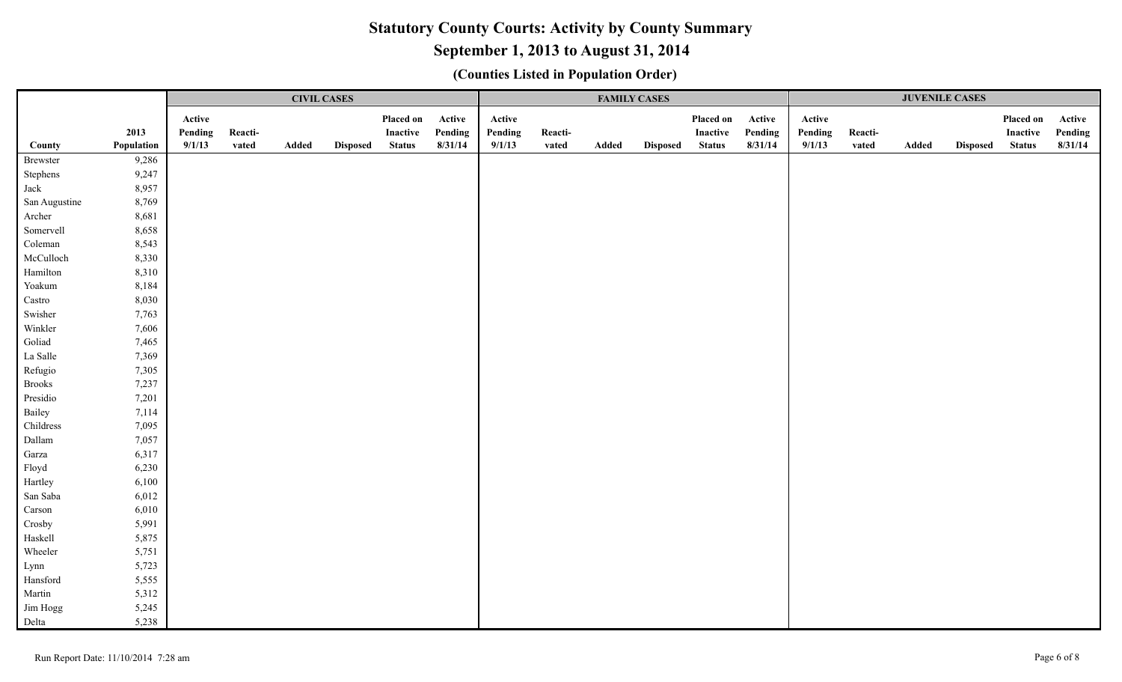# **September 1, 2013 to August 31, 2014**

|               |            |         |         | <b>CIVIL CASES</b> |                 |               |         |         |         |       | <b>FAMILY CASES</b> |               |         |         |         | <b>JUVENILE CASES</b> |                 |                 |         |
|---------------|------------|---------|---------|--------------------|-----------------|---------------|---------|---------|---------|-------|---------------------|---------------|---------|---------|---------|-----------------------|-----------------|-----------------|---------|
|               |            | Active  |         |                    |                 | Placed on     | Active  | Active  |         |       |                     | Placed on     | Active  | Active  |         |                       |                 | Placed on       | Active  |
|               | 2013       | Pending | Reacti- |                    |                 | Inactive      | Pending | Pending | Reacti- |       |                     | Inactive      | Pending | Pending | Reacti- |                       |                 | <b>Inactive</b> | Pending |
| County        | Population | 9/1/13  | vated   | Added              | <b>Disposed</b> | <b>Status</b> | 8/31/14 | 9/1/13  | vated   | Added | <b>Disposed</b>     | <b>Status</b> | 8/31/14 | 9/1/13  | vated   | Added                 | <b>Disposed</b> | <b>Status</b>   | 8/31/14 |
| Brewster      | 9,286      |         |         |                    |                 |               |         |         |         |       |                     |               |         |         |         |                       |                 |                 |         |
| Stephens      | 9,247      |         |         |                    |                 |               |         |         |         |       |                     |               |         |         |         |                       |                 |                 |         |
| Jack          | 8,957      |         |         |                    |                 |               |         |         |         |       |                     |               |         |         |         |                       |                 |                 |         |
| San Augustine | 8,769      |         |         |                    |                 |               |         |         |         |       |                     |               |         |         |         |                       |                 |                 |         |
| Archer        | 8,681      |         |         |                    |                 |               |         |         |         |       |                     |               |         |         |         |                       |                 |                 |         |
| Somervell     | 8,658      |         |         |                    |                 |               |         |         |         |       |                     |               |         |         |         |                       |                 |                 |         |
| Coleman       | 8,543      |         |         |                    |                 |               |         |         |         |       |                     |               |         |         |         |                       |                 |                 |         |
| McCulloch     | 8,330      |         |         |                    |                 |               |         |         |         |       |                     |               |         |         |         |                       |                 |                 |         |
| Hamilton      | 8,310      |         |         |                    |                 |               |         |         |         |       |                     |               |         |         |         |                       |                 |                 |         |
| Yoakum        | 8,184      |         |         |                    |                 |               |         |         |         |       |                     |               |         |         |         |                       |                 |                 |         |
| Castro        | 8,030      |         |         |                    |                 |               |         |         |         |       |                     |               |         |         |         |                       |                 |                 |         |
| Swisher       | 7,763      |         |         |                    |                 |               |         |         |         |       |                     |               |         |         |         |                       |                 |                 |         |
| Winkler       | 7,606      |         |         |                    |                 |               |         |         |         |       |                     |               |         |         |         |                       |                 |                 |         |
| Goliad        | 7,465      |         |         |                    |                 |               |         |         |         |       |                     |               |         |         |         |                       |                 |                 |         |
| La Salle      | 7,369      |         |         |                    |                 |               |         |         |         |       |                     |               |         |         |         |                       |                 |                 |         |
| Refugio       | 7,305      |         |         |                    |                 |               |         |         |         |       |                     |               |         |         |         |                       |                 |                 |         |
| <b>Brooks</b> | 7,237      |         |         |                    |                 |               |         |         |         |       |                     |               |         |         |         |                       |                 |                 |         |
| Presidio      | 7,201      |         |         |                    |                 |               |         |         |         |       |                     |               |         |         |         |                       |                 |                 |         |
| Bailey        | 7,114      |         |         |                    |                 |               |         |         |         |       |                     |               |         |         |         |                       |                 |                 |         |
| Childress     | 7,095      |         |         |                    |                 |               |         |         |         |       |                     |               |         |         |         |                       |                 |                 |         |
| Dallam        | 7,057      |         |         |                    |                 |               |         |         |         |       |                     |               |         |         |         |                       |                 |                 |         |
| Garza         | 6,317      |         |         |                    |                 |               |         |         |         |       |                     |               |         |         |         |                       |                 |                 |         |
| Floyd         | 6,230      |         |         |                    |                 |               |         |         |         |       |                     |               |         |         |         |                       |                 |                 |         |
| Hartley       | 6,100      |         |         |                    |                 |               |         |         |         |       |                     |               |         |         |         |                       |                 |                 |         |
| San Saba      | 6,012      |         |         |                    |                 |               |         |         |         |       |                     |               |         |         |         |                       |                 |                 |         |
| Carson        | 6,010      |         |         |                    |                 |               |         |         |         |       |                     |               |         |         |         |                       |                 |                 |         |
| Crosby        | 5,991      |         |         |                    |                 |               |         |         |         |       |                     |               |         |         |         |                       |                 |                 |         |
| Haskell       | 5,875      |         |         |                    |                 |               |         |         |         |       |                     |               |         |         |         |                       |                 |                 |         |
| Wheeler       | 5,751      |         |         |                    |                 |               |         |         |         |       |                     |               |         |         |         |                       |                 |                 |         |
| Lynn          | 5,723      |         |         |                    |                 |               |         |         |         |       |                     |               |         |         |         |                       |                 |                 |         |
| Hansford      | 5,555      |         |         |                    |                 |               |         |         |         |       |                     |               |         |         |         |                       |                 |                 |         |
| Martin        | 5,312      |         |         |                    |                 |               |         |         |         |       |                     |               |         |         |         |                       |                 |                 |         |
| Jim Hogg      | 5,245      |         |         |                    |                 |               |         |         |         |       |                     |               |         |         |         |                       |                 |                 |         |
| Delta         | 5,238      |         |         |                    |                 |               |         |         |         |       |                     |               |         |         |         |                       |                 |                 |         |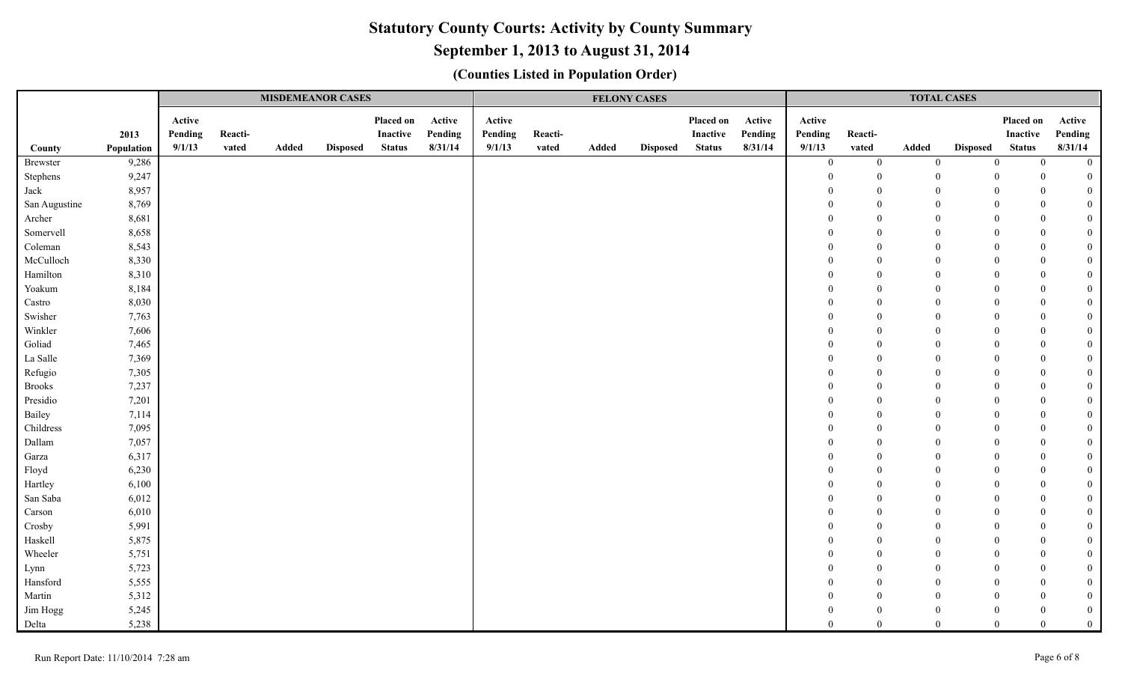# **September 1, 2013 to August 31, 2014**

|               |                    |                             |                  |       | <b>MISDEMEANOR CASES</b> |                                        |                              |                             |                  |       | <b>FELONY CASES</b> |                                               |                              |                             |                  | <b>TOTAL CASES</b> |                 |                                        |                              |
|---------------|--------------------|-----------------------------|------------------|-------|--------------------------|----------------------------------------|------------------------------|-----------------------------|------------------|-------|---------------------|-----------------------------------------------|------------------------------|-----------------------------|------------------|--------------------|-----------------|----------------------------------------|------------------------------|
| County        | 2013<br>Population | Active<br>Pending<br>9/1/13 | Reacti-<br>vated | Added | <b>Disposed</b>          | Placed on<br>Inactive<br><b>Status</b> | Active<br>Pending<br>8/31/14 | Active<br>Pending<br>9/1/13 | Reacti-<br>vated | Added | <b>Disposed</b>     | Placed on<br><b>Inactive</b><br><b>Status</b> | Active<br>Pending<br>8/31/14 | Active<br>Pending<br>9/1/13 | Reacti-<br>vated | Added              | <b>Disposed</b> | Placed on<br>Inactive<br><b>Status</b> | Active<br>Pending<br>8/31/14 |
| Brewster      | 9,286              |                             |                  |       |                          |                                        |                              |                             |                  |       |                     |                                               |                              | $\bf{0}$                    | $\boldsymbol{0}$ | $\mathbf{0}$       | $\overline{0}$  | $\overline{0}$                         | $\overline{0}$               |
| Stephens      | 9,247              |                             |                  |       |                          |                                        |                              |                             |                  |       |                     |                                               |                              | $\Omega$                    | $\overline{0}$   | $\Omega$           | $\overline{0}$  | $\Omega$                               | $\overline{0}$               |
| Jack          | 8,957              |                             |                  |       |                          |                                        |                              |                             |                  |       |                     |                                               |                              |                             | $\overline{0}$   | $\theta$           | $\overline{0}$  | $\Omega$                               | $\mathbf{0}$                 |
| San Augustine | 8,769              |                             |                  |       |                          |                                        |                              |                             |                  |       |                     |                                               |                              |                             | $\boldsymbol{0}$ | $\mathbf{0}$       | $\mathbf{0}$    | $\Omega$                               | $\boldsymbol{0}$             |
| Archer        | 8,681              |                             |                  |       |                          |                                        |                              |                             |                  |       |                     |                                               |                              |                             | $\overline{0}$   | $\theta$           | $\overline{0}$  | $\theta$                               | $\mathbf{0}$                 |
| Somervell     | 8,658              |                             |                  |       |                          |                                        |                              |                             |                  |       |                     |                                               |                              |                             | $\mathbf{0}$     | $\theta$           | $\mathbf{0}$    | $\Omega$                               | $\boldsymbol{0}$             |
| Coleman       | 8,543              |                             |                  |       |                          |                                        |                              |                             |                  |       |                     |                                               |                              |                             | $\boldsymbol{0}$ | $\theta$           | $\Omega$        | $\Omega$                               | $\mathbf{0}$                 |
| McCulloch     | 8,330              |                             |                  |       |                          |                                        |                              |                             |                  |       |                     |                                               |                              |                             | $\mathbf{0}$     | $\theta$           | $\theta$        | $\Omega$                               | $\boldsymbol{0}$             |
| Hamilton      | 8,310              |                             |                  |       |                          |                                        |                              |                             |                  |       |                     |                                               |                              |                             | $\mathbf{0}$     | $\Omega$           | $\Omega$        | $\Omega$                               | $\boldsymbol{0}$             |
| Yoakum        | 8,184              |                             |                  |       |                          |                                        |                              |                             |                  |       |                     |                                               |                              |                             | $\mathbf{0}$     | $\Omega$           | $\Omega$        |                                        | $\boldsymbol{0}$             |
| Castro        | 8,030              |                             |                  |       |                          |                                        |                              |                             |                  |       |                     |                                               |                              |                             | $\boldsymbol{0}$ | $\Omega$           | $\Omega$        | $\Omega$                               | $\boldsymbol{0}$             |
| Swisher       | 7,763              |                             |                  |       |                          |                                        |                              |                             |                  |       |                     |                                               |                              |                             | $\overline{0}$   | $\Omega$           | $\Omega$        | $\Omega$                               | $\boldsymbol{0}$             |
| Winkler       | 7,606              |                             |                  |       |                          |                                        |                              |                             |                  |       |                     |                                               |                              |                             | $\mathbf{0}$     | $\Omega$           | $\Omega$        | $\Omega$                               | $\boldsymbol{0}$             |
| Goliad        | 7,465              |                             |                  |       |                          |                                        |                              |                             |                  |       |                     |                                               |                              |                             | $\overline{0}$   | $\Omega$           | $\Omega$        | $\Omega$                               | $\boldsymbol{0}$             |
| La Salle      | 7,369              |                             |                  |       |                          |                                        |                              |                             |                  |       |                     |                                               |                              |                             | $\overline{0}$   | $\theta$           | $\Omega$        | $\Omega$                               | $\boldsymbol{0}$             |
| Refugio       | 7,305              |                             |                  |       |                          |                                        |                              |                             |                  |       |                     |                                               |                              |                             | $\mathbf{0}$     | $\Omega$           | $\Omega$        | $\Omega$                               | $\mathbf{0}$                 |
| <b>Brooks</b> | 7,237              |                             |                  |       |                          |                                        |                              |                             |                  |       |                     |                                               |                              |                             | $\mathbf{0}$     | $\theta$           | $\Omega$        | $\Omega$                               | $\mathbf{0}$                 |
| Presidio      | 7,201              |                             |                  |       |                          |                                        |                              |                             |                  |       |                     |                                               |                              |                             | $\mathbf{0}$     | $\Omega$           | $\Omega$        |                                        | $\mathbf{0}$                 |
| Bailey        | 7,114              |                             |                  |       |                          |                                        |                              |                             |                  |       |                     |                                               |                              |                             | $\boldsymbol{0}$ | $\theta$           | $\Omega$        | $\Omega$                               | $\mathbf{0}$                 |
| Childress     | 7,095              |                             |                  |       |                          |                                        |                              |                             |                  |       |                     |                                               |                              |                             | $\mathbf{0}$     | $\Omega$           | $\Omega$        |                                        | $\mathbf{0}$                 |
| Dallam        | 7,057              |                             |                  |       |                          |                                        |                              |                             |                  |       |                     |                                               |                              |                             | $\boldsymbol{0}$ | $\Omega$           | $\Omega$        | $\theta$                               | $\boldsymbol{0}$             |
| Garza         | 6,317              |                             |                  |       |                          |                                        |                              |                             |                  |       |                     |                                               |                              |                             | $\boldsymbol{0}$ | $\Omega$           | $\Omega$        | $\Omega$                               | $\mathbf{0}$                 |
| Floyd         | 6,230              |                             |                  |       |                          |                                        |                              |                             |                  |       |                     |                                               |                              |                             | $\boldsymbol{0}$ | $\Omega$           | $\Omega$        | $\Omega$                               | $\boldsymbol{0}$             |
| Hartley       | 6,100              |                             |                  |       |                          |                                        |                              |                             |                  |       |                     |                                               |                              |                             | $\mathbf{0}$     | $\Omega$           | $\Omega$        | $\Omega$                               | $\mathbf{0}$                 |
| San Saba      | 6,012              |                             |                  |       |                          |                                        |                              |                             |                  |       |                     |                                               |                              |                             | $\mathbf{0}$     | $\Omega$           | $\Omega$        |                                        | $\mathbf{0}$                 |
| Carson        | 6,010              |                             |                  |       |                          |                                        |                              |                             |                  |       |                     |                                               |                              |                             | $\mathbf{0}$     | $\overline{0}$     | $\Omega$        | $\Omega$                               | $\boldsymbol{0}$             |
| Crosby        | 5,991              |                             |                  |       |                          |                                        |                              |                             |                  |       |                     |                                               |                              |                             | $\overline{0}$   | $\theta$           | $\theta$        |                                        | $\mathbf{0}$                 |
| Haskell       | 5,875              |                             |                  |       |                          |                                        |                              |                             |                  |       |                     |                                               |                              |                             | $\mathbf{0}$     | $\mathbf{0}$       | $\theta$        | $\Omega$                               | $\boldsymbol{0}$             |
| Wheeler       | 5,751              |                             |                  |       |                          |                                        |                              |                             |                  |       |                     |                                               |                              |                             | $\overline{0}$   | $\theta$           | $\Omega$        | $\Omega$                               | $\boldsymbol{0}$             |
| Lynn          | 5,723              |                             |                  |       |                          |                                        |                              |                             |                  |       |                     |                                               |                              |                             | $\overline{0}$   | $\overline{0}$     | $\theta$        | $\Omega$                               | $\mathbf{0}$                 |
| Hansford      | 5,555              |                             |                  |       |                          |                                        |                              |                             |                  |       |                     |                                               |                              |                             | $\mathbf{0}$     | $\theta$           | $\Omega$        | $\Omega$                               | $\boldsymbol{0}$             |
| Martin        | 5,312              |                             |                  |       |                          |                                        |                              |                             |                  |       |                     |                                               |                              |                             | $\mathbf{0}$     | $\theta$           | $\Omega$        |                                        | $\overline{0}$               |
| Jim Hogg      | 5,245              |                             |                  |       |                          |                                        |                              |                             |                  |       |                     |                                               |                              |                             | $\Omega$         | $\Omega$           | $\Omega$        |                                        | $\mathbf{0}$                 |
| Delta         | 5,238              |                             |                  |       |                          |                                        |                              |                             |                  |       |                     |                                               |                              | 0                           | $\Omega$         | $\Omega$           | $\Omega$        |                                        | $\theta$                     |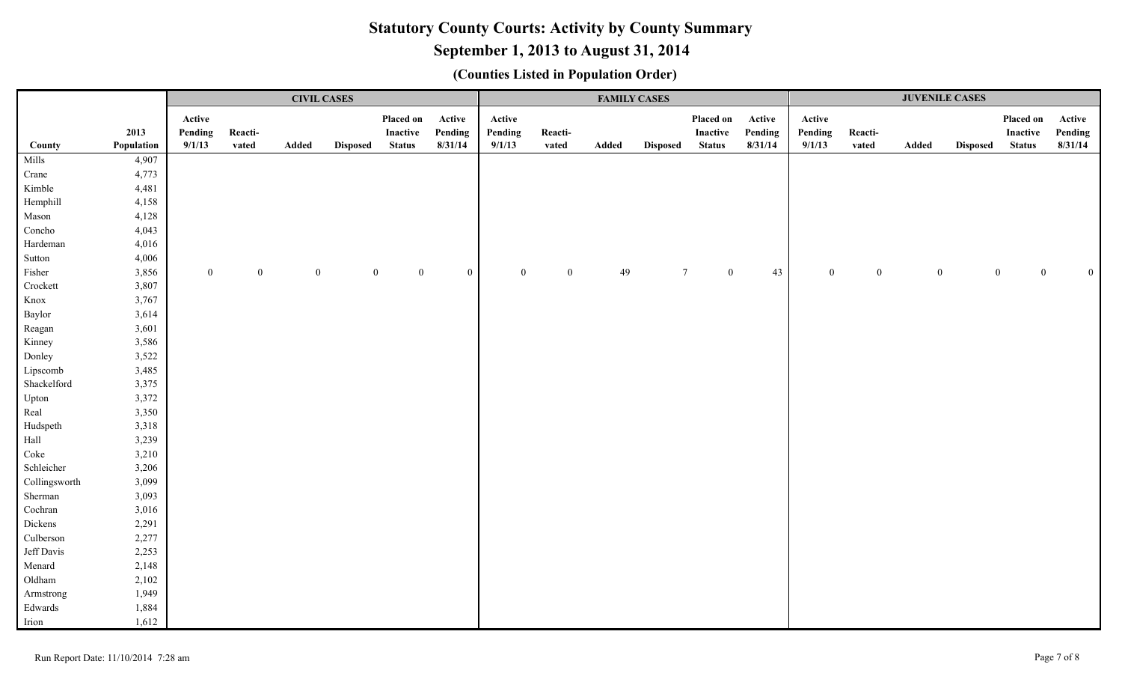# **September 1, 2013 to August 31, 2014**

|               |            |              |          | <b>CIVIL CASES</b> |                 |                 |                |          |                | <b>FAMILY CASES</b> |                 |                        | <b>JUVENILE CASES</b> |                |          |                |                 |                          |          |
|---------------|------------|--------------|----------|--------------------|-----------------|-----------------|----------------|----------|----------------|---------------------|-----------------|------------------------|-----------------------|----------------|----------|----------------|-----------------|--------------------------|----------|
|               |            | Active       |          |                    |                 | Placed on       | Active         | Active   |                |                     |                 | Placed on              | Active                | Active         |          |                |                 | Placed on                | Active   |
|               | 2013       | Pending      | Reacti-  |                    |                 | <b>Inactive</b> | Pending        | Pending  | Reacti-        |                     |                 | Inactive               | Pending               | Pending        | Reacti-  |                |                 | Inactive                 | Pending  |
| County        | Population | 9/1/13       | vated    | Added              | <b>Disposed</b> | <b>Status</b>   | 8/31/14        | 9/1/13   | vated          | Added               | <b>Disposed</b> | <b>Status</b>          | 8/31/14               | 9/1/13         | vated    | Added          | <b>Disposed</b> | <b>Status</b>            | 8/31/14  |
| Mills         | 4,907      |              |          |                    |                 |                 |                |          |                |                     |                 |                        |                       |                |          |                |                 |                          |          |
| Crane         | 4,773      |              |          |                    |                 |                 |                |          |                |                     |                 |                        |                       |                |          |                |                 |                          |          |
| Kimble        | 4,481      |              |          |                    |                 |                 |                |          |                |                     |                 |                        |                       |                |          |                |                 |                          |          |
| Hemphill      | 4,158      |              |          |                    |                 |                 |                |          |                |                     |                 |                        |                       |                |          |                |                 |                          |          |
| Mason         | 4,128      |              |          |                    |                 |                 |                |          |                |                     |                 |                        |                       |                |          |                |                 |                          |          |
| Concho        | 4,043      |              |          |                    |                 |                 |                |          |                |                     |                 |                        |                       |                |          |                |                 |                          |          |
| Hardeman      | 4,016      |              |          |                    |                 |                 |                |          |                |                     |                 |                        |                       |                |          |                |                 |                          |          |
| Sutton        | 4,006      |              |          |                    |                 |                 |                |          |                |                     |                 |                        |                       |                |          |                |                 |                          |          |
| Fisher        | 3,856      | $\mathbf{0}$ | $\theta$ | $\mathbf{0}$       | $\theta$        | $\overline{0}$  | $\overline{0}$ | $\theta$ | $\overline{0}$ | 49                  |                 | $\tau$<br>$\mathbf{0}$ | 43                    | $\overline{0}$ | $\bf{0}$ | $\overline{0}$ |                 | $\mathbf{0}$<br>$\Omega$ | $\Omega$ |
| Crockett      | 3,807      |              |          |                    |                 |                 |                |          |                |                     |                 |                        |                       |                |          |                |                 |                          |          |
| Knox          | 3,767      |              |          |                    |                 |                 |                |          |                |                     |                 |                        |                       |                |          |                |                 |                          |          |
| Baylor        | 3,614      |              |          |                    |                 |                 |                |          |                |                     |                 |                        |                       |                |          |                |                 |                          |          |
| Reagan        | 3,601      |              |          |                    |                 |                 |                |          |                |                     |                 |                        |                       |                |          |                |                 |                          |          |
| Kinney        | 3,586      |              |          |                    |                 |                 |                |          |                |                     |                 |                        |                       |                |          |                |                 |                          |          |
| Donley        | 3,522      |              |          |                    |                 |                 |                |          |                |                     |                 |                        |                       |                |          |                |                 |                          |          |
| Lipscomb      | 3,485      |              |          |                    |                 |                 |                |          |                |                     |                 |                        |                       |                |          |                |                 |                          |          |
| Shackelford   | 3,375      |              |          |                    |                 |                 |                |          |                |                     |                 |                        |                       |                |          |                |                 |                          |          |
| Upton         | 3,372      |              |          |                    |                 |                 |                |          |                |                     |                 |                        |                       |                |          |                |                 |                          |          |
| Real          | 3,350      |              |          |                    |                 |                 |                |          |                |                     |                 |                        |                       |                |          |                |                 |                          |          |
| Hudspeth      | 3,318      |              |          |                    |                 |                 |                |          |                |                     |                 |                        |                       |                |          |                |                 |                          |          |
| Hall          | 3,239      |              |          |                    |                 |                 |                |          |                |                     |                 |                        |                       |                |          |                |                 |                          |          |
| Coke          | 3,210      |              |          |                    |                 |                 |                |          |                |                     |                 |                        |                       |                |          |                |                 |                          |          |
| Schleicher    | 3,206      |              |          |                    |                 |                 |                |          |                |                     |                 |                        |                       |                |          |                |                 |                          |          |
| Collingsworth | 3,099      |              |          |                    |                 |                 |                |          |                |                     |                 |                        |                       |                |          |                |                 |                          |          |
| Sherman       | 3,093      |              |          |                    |                 |                 |                |          |                |                     |                 |                        |                       |                |          |                |                 |                          |          |
| Cochran       | 3,016      |              |          |                    |                 |                 |                |          |                |                     |                 |                        |                       |                |          |                |                 |                          |          |
| Dickens       | 2,291      |              |          |                    |                 |                 |                |          |                |                     |                 |                        |                       |                |          |                |                 |                          |          |
| Culberson     | 2,277      |              |          |                    |                 |                 |                |          |                |                     |                 |                        |                       |                |          |                |                 |                          |          |
| Jeff Davis    | 2,253      |              |          |                    |                 |                 |                |          |                |                     |                 |                        |                       |                |          |                |                 |                          |          |
| Menard        | 2,148      |              |          |                    |                 |                 |                |          |                |                     |                 |                        |                       |                |          |                |                 |                          |          |
| Oldham        | 2,102      |              |          |                    |                 |                 |                |          |                |                     |                 |                        |                       |                |          |                |                 |                          |          |
| Armstrong     | 1,949      |              |          |                    |                 |                 |                |          |                |                     |                 |                        |                       |                |          |                |                 |                          |          |
| Edwards       | 1,884      |              |          |                    |                 |                 |                |          |                |                     |                 |                        |                       |                |          |                |                 |                          |          |
| Irion         | 1,612      |              |          |                    |                 |                 |                |          |                |                     |                 |                        |                       |                |          |                |                 |                          |          |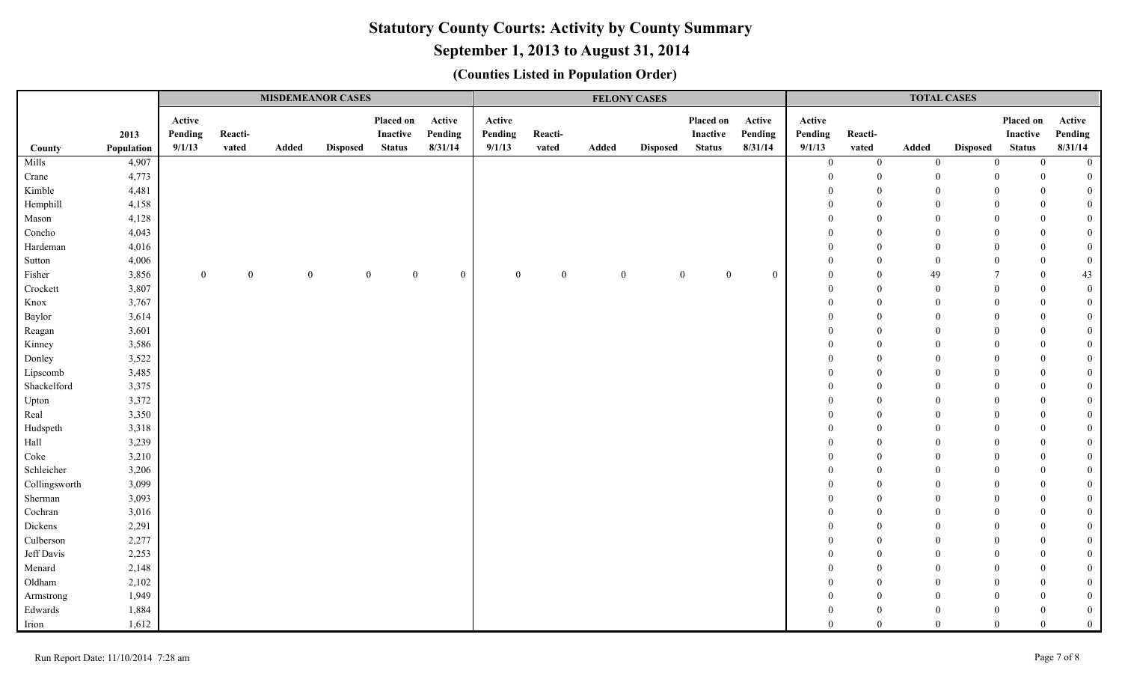# **September 1, 2013 to August 31, 2014**

|               |                    |                             |                  | <b>MISDEMEANOR CASES</b> |                 |                                        |                              |                             |                  |              | <b>FELONY CASES</b> |                                        | <b>TOTAL CASES</b>           |                             |                  |                  |                 |                                        |                              |
|---------------|--------------------|-----------------------------|------------------|--------------------------|-----------------|----------------------------------------|------------------------------|-----------------------------|------------------|--------------|---------------------|----------------------------------------|------------------------------|-----------------------------|------------------|------------------|-----------------|----------------------------------------|------------------------------|
| County        | 2013<br>Population | Active<br>Pending<br>9/1/13 | Reacti-<br>vated | Added                    | <b>Disposed</b> | Placed on<br>Inactive<br><b>Status</b> | Active<br>Pending<br>8/31/14 | Active<br>Pending<br>9/1/13 | Reacti-<br>vated | Added        | <b>Disposed</b>     | Placed on<br>Inactive<br><b>Status</b> | Active<br>Pending<br>8/31/14 | Active<br>Pending<br>9/1/13 | Reacti-<br>vated | Added            | <b>Disposed</b> | Placed on<br>Inactive<br><b>Status</b> | Active<br>Pending<br>8/31/14 |
| Mills         | 4,907              |                             |                  |                          |                 |                                        |                              |                             |                  |              |                     |                                        |                              | $\bf{0}$                    | $\boldsymbol{0}$ | $\boldsymbol{0}$ | $\mathbf{0}$    | $\overline{0}$                         | $\overline{0}$               |
| Crane         | 4,773              |                             |                  |                          |                 |                                        |                              |                             |                  |              |                     |                                        |                              | $\Omega$                    | $\overline{0}$   | $\mathbf{0}$     | $\Omega$        | $\Omega$                               | $\overline{0}$               |
| Kimble        | 4,481              |                             |                  |                          |                 |                                        |                              |                             |                  |              |                     |                                        |                              |                             | $\theta$         | $\theta$         |                 | $\Omega$                               | $\mathbf{0}$                 |
| Hemphill      | 4,158              |                             |                  |                          |                 |                                        |                              |                             |                  |              |                     |                                        |                              |                             | $\theta$         | $\theta$         | $\Omega$        | $\theta$                               | $\mathbf{0}$                 |
| Mason         | 4,128              |                             |                  |                          |                 |                                        |                              |                             |                  |              |                     |                                        |                              |                             | $\theta$         | $\theta$         | $\Omega$        | $\theta$                               | $\overline{0}$               |
| Concho        | 4,043              |                             |                  |                          |                 |                                        |                              |                             |                  |              |                     |                                        |                              |                             | $\Omega$         | $\Omega$         | $\Omega$        | $\theta$                               | $\mathbf{0}$                 |
| Hardeman      | 4,016              |                             |                  |                          |                 |                                        |                              |                             |                  |              |                     |                                        |                              | $\Omega$                    | $\theta$         | $\mathbf{0}$     | $\Omega$        | $\theta$                               | $\overline{0}$               |
| Sutton        | 4,006              |                             |                  |                          |                 |                                        |                              |                             |                  |              |                     |                                        |                              | $\Omega$                    | $\mathbf{0}$     | $\overline{0}$   | $\Omega$        | $\mathbf{0}$                           | $\mathbf{0}$                 |
| Fisher        | 3,856              | $\overline{0}$              | $\mathbf{0}$     | $\mathbf{0}$             |                 | $\boldsymbol{0}$<br>$\overline{0}$     | $\mathbf{0}$                 | $\overline{0}$              | $\theta$         | $\mathbf{0}$ |                     | $\Omega$<br>$\theta$                   | $\mathbf{0}$                 | $\Omega$                    | $\overline{0}$   | 49               |                 | $\Omega$                               | 43                           |
| Crockett      | 3,807              |                             |                  |                          |                 |                                        |                              |                             |                  |              |                     |                                        |                              | $\Omega$                    | $\mathbf{0}$     | $\mathbf{0}$     | $\Omega$        | $\theta$                               | $\mathbf{0}$                 |
| Knox          | 3,767              |                             |                  |                          |                 |                                        |                              |                             |                  |              |                     |                                        |                              | $\Omega$                    | $\theta$         | $\Omega$         | $\Omega$        | $\Omega$                               | $\mathbf{0}$                 |
| Baylor        | 3,614              |                             |                  |                          |                 |                                        |                              |                             |                  |              |                     |                                        |                              |                             | $\overline{0}$   | $\theta$         | $\Omega$        | $\theta$                               | $\mathbf{0}$                 |
| Reagan        | 3,601              |                             |                  |                          |                 |                                        |                              |                             |                  |              |                     |                                        |                              |                             | $\theta$         | $\theta$         | $\Omega$        | $\theta$                               | $\mathbf{0}$                 |
| Kinney        | 3,586              |                             |                  |                          |                 |                                        |                              |                             |                  |              |                     |                                        |                              |                             | $\theta$         | $\Omega$         |                 | $\Omega$                               | $\boldsymbol{0}$             |
| Donley        | 3,522              |                             |                  |                          |                 |                                        |                              |                             |                  |              |                     |                                        |                              |                             | $\Omega$         | $\Omega$         | $\Omega$        | $\Omega$                               | $\mathbf{0}$                 |
| Lipscomb      | 3,485              |                             |                  |                          |                 |                                        |                              |                             |                  |              |                     |                                        |                              |                             | $\Omega$         | $\Omega$         |                 | $\Omega$                               | $\overline{0}$               |
| Shackelford   | 3,375              |                             |                  |                          |                 |                                        |                              |                             |                  |              |                     |                                        |                              |                             | $\theta$         | $\theta$         |                 | $\Omega$                               | $\mathbf{0}$                 |
| Upton         | 3,372              |                             |                  |                          |                 |                                        |                              |                             |                  |              |                     |                                        |                              |                             | $\Omega$         | $\theta$         |                 | $\Omega$                               | $\overline{0}$               |
| Real          | 3,350              |                             |                  |                          |                 |                                        |                              |                             |                  |              |                     |                                        |                              |                             | $\theta$         | $\theta$         | $\Omega$        | $\theta$                               | $\mathbf{0}$                 |
| Hudspeth      | 3,318              |                             |                  |                          |                 |                                        |                              |                             |                  |              |                     |                                        |                              |                             | $\theta$         | $\theta$         | $\Omega$        | $\theta$                               | $\mathbf{0}$                 |
| Hall          | 3,239              |                             |                  |                          |                 |                                        |                              |                             |                  |              |                     |                                        |                              |                             | $\theta$         | $\theta$         | $\Omega$        | $\theta$                               | $\boldsymbol{0}$             |
| Coke          | 3,210              |                             |                  |                          |                 |                                        |                              |                             |                  |              |                     |                                        |                              |                             | $\Omega$         | $\mathbf{0}$     |                 | $\Omega$                               | $\mathbf{0}$                 |
| Schleicher    | 3,206              |                             |                  |                          |                 |                                        |                              |                             |                  |              |                     |                                        |                              |                             | $\theta$         | $\mathbf{0}$     | $\Omega$        | $\theta$                               | $\mathbf{0}$                 |
| Collingsworth | 3,099              |                             |                  |                          |                 |                                        |                              |                             |                  |              |                     |                                        |                              |                             | $\theta$         | $\boldsymbol{0}$ | $\Omega$        | $\Omega$                               | $\mathbf{0}$                 |
| Sherman       | 3,093              |                             |                  |                          |                 |                                        |                              |                             |                  |              |                     |                                        |                              |                             | $\overline{0}$   | $\theta$         | $\Omega$        | $\Omega$                               | $\boldsymbol{0}$             |
| Cochran       | 3,016              |                             |                  |                          |                 |                                        |                              |                             |                  |              |                     |                                        |                              |                             | $\overline{0}$   | $\Omega$         | $\Omega$        | $\Omega$                               | $\mathbf{0}$                 |
| Dickens       | 2,291              |                             |                  |                          |                 |                                        |                              |                             |                  |              |                     |                                        |                              |                             | $\theta$         | $\Omega$         | $\Omega$        | $\Omega$                               | $\boldsymbol{0}$             |
| Culberson     | 2,277              |                             |                  |                          |                 |                                        |                              |                             |                  |              |                     |                                        |                              |                             | $\overline{0}$   | $\theta$         | $\Omega$        | $\Omega$                               | $\mathbf{0}$                 |
| Jeff Davis    | 2,253              |                             |                  |                          |                 |                                        |                              |                             |                  |              |                     |                                        |                              |                             | $\theta$         | $\theta$         | $\Omega$        | $\Omega$                               | $\overline{0}$               |
| Menard        | 2,148              |                             |                  |                          |                 |                                        |                              |                             |                  |              |                     |                                        |                              |                             | $\overline{0}$   | $\overline{0}$   | $\Omega$        | $\Omega$                               | $\mathbf{0}$                 |
| Oldham        | 2,102              |                             |                  |                          |                 |                                        |                              |                             |                  |              |                     |                                        |                              |                             | $\overline{0}$   | $\mathbf{0}$     |                 | $\Omega$                               | $\overline{0}$               |
| Armstrong     | 1,949              |                             |                  |                          |                 |                                        |                              |                             |                  |              |                     |                                        |                              |                             | $\theta$         | $\theta$         |                 | $\Omega$                               | $\overline{0}$               |
| Edwards       | 1,884              |                             |                  |                          |                 |                                        |                              |                             |                  |              |                     |                                        |                              |                             | $\Omega$         | $\theta$         | $\Omega$        | $\Omega$                               | $\boldsymbol{0}$             |
| Irion         | 1,612              |                             |                  |                          |                 |                                        |                              |                             |                  |              |                     |                                        |                              | $\Omega$                    | $\Omega$         | $\theta$         | $\theta$        | $\Omega$                               | $\mathbf{0}$                 |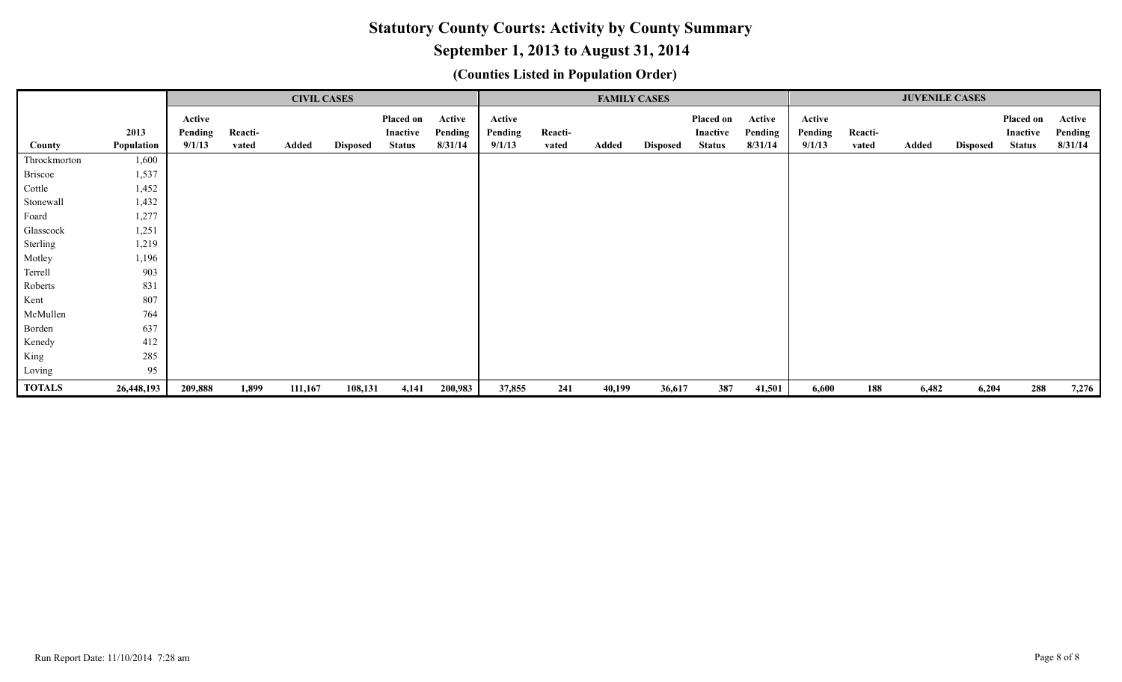# **September 1, 2013 to August 31, 2014**

|               |            |                   |         | <b>CIVIL CASES</b> |                 |                       |                   |                   |         |        | <b>FAMILY CASES</b> |                       |                   |                   |         | <b>JUVENILE CASES</b> |                 |                       |                   |
|---------------|------------|-------------------|---------|--------------------|-----------------|-----------------------|-------------------|-------------------|---------|--------|---------------------|-----------------------|-------------------|-------------------|---------|-----------------------|-----------------|-----------------------|-------------------|
|               | 2013       | Active<br>Pending | Reacti- |                    |                 | Placed on<br>Inactive | Active<br>Pending | Active<br>Pending | Reacti- |        |                     | Placed on<br>Inactive | Active<br>Pending | Active<br>Pending | Reacti- |                       |                 | Placed on<br>Inactive | Active<br>Pending |
| County        | Population | 9/1/13            | vated   | Added              | <b>Disposed</b> | <b>Status</b>         | 8/31/14           | 9/1/13            | vated   | Added  | <b>Disposed</b>     | <b>Status</b>         | 8/31/14           | 9/1/13            | vated   | Added                 | <b>Disposed</b> | <b>Status</b>         | 8/31/14           |
| Throckmorton  | 1,600      |                   |         |                    |                 |                       |                   |                   |         |        |                     |                       |                   |                   |         |                       |                 |                       |                   |
| Briscoe       | 1,537      |                   |         |                    |                 |                       |                   |                   |         |        |                     |                       |                   |                   |         |                       |                 |                       |                   |
| Cottle        | 1,452      |                   |         |                    |                 |                       |                   |                   |         |        |                     |                       |                   |                   |         |                       |                 |                       |                   |
| Stonewall     | 1,432      |                   |         |                    |                 |                       |                   |                   |         |        |                     |                       |                   |                   |         |                       |                 |                       |                   |
| Foard         | 1,277      |                   |         |                    |                 |                       |                   |                   |         |        |                     |                       |                   |                   |         |                       |                 |                       |                   |
| Glasscock     | 1,251      |                   |         |                    |                 |                       |                   |                   |         |        |                     |                       |                   |                   |         |                       |                 |                       |                   |
| Sterling      | 1,219      |                   |         |                    |                 |                       |                   |                   |         |        |                     |                       |                   |                   |         |                       |                 |                       |                   |
| Motley        | 1,196      |                   |         |                    |                 |                       |                   |                   |         |        |                     |                       |                   |                   |         |                       |                 |                       |                   |
| Terrell       | 903        |                   |         |                    |                 |                       |                   |                   |         |        |                     |                       |                   |                   |         |                       |                 |                       |                   |
| Roberts       | 831        |                   |         |                    |                 |                       |                   |                   |         |        |                     |                       |                   |                   |         |                       |                 |                       |                   |
| Kent          | 807        |                   |         |                    |                 |                       |                   |                   |         |        |                     |                       |                   |                   |         |                       |                 |                       |                   |
| McMullen      | 764        |                   |         |                    |                 |                       |                   |                   |         |        |                     |                       |                   |                   |         |                       |                 |                       |                   |
| Borden        | 637        |                   |         |                    |                 |                       |                   |                   |         |        |                     |                       |                   |                   |         |                       |                 |                       |                   |
| Kenedy        | 412        |                   |         |                    |                 |                       |                   |                   |         |        |                     |                       |                   |                   |         |                       |                 |                       |                   |
| King          | 285        |                   |         |                    |                 |                       |                   |                   |         |        |                     |                       |                   |                   |         |                       |                 |                       |                   |
| Loving        | 95         |                   |         |                    |                 |                       |                   |                   |         |        |                     |                       |                   |                   |         |                       |                 |                       |                   |
| <b>TOTALS</b> | 26,448,193 | 209,888           | 1,899   | 111,167            | 108,131         | 4,141                 | 200,983           | 37,855            | 241     | 40,199 | 36,617              | 387                   | 41,501            | 6,600             | 188     | 6,482                 | 6,204           | 288                   | 7,276             |